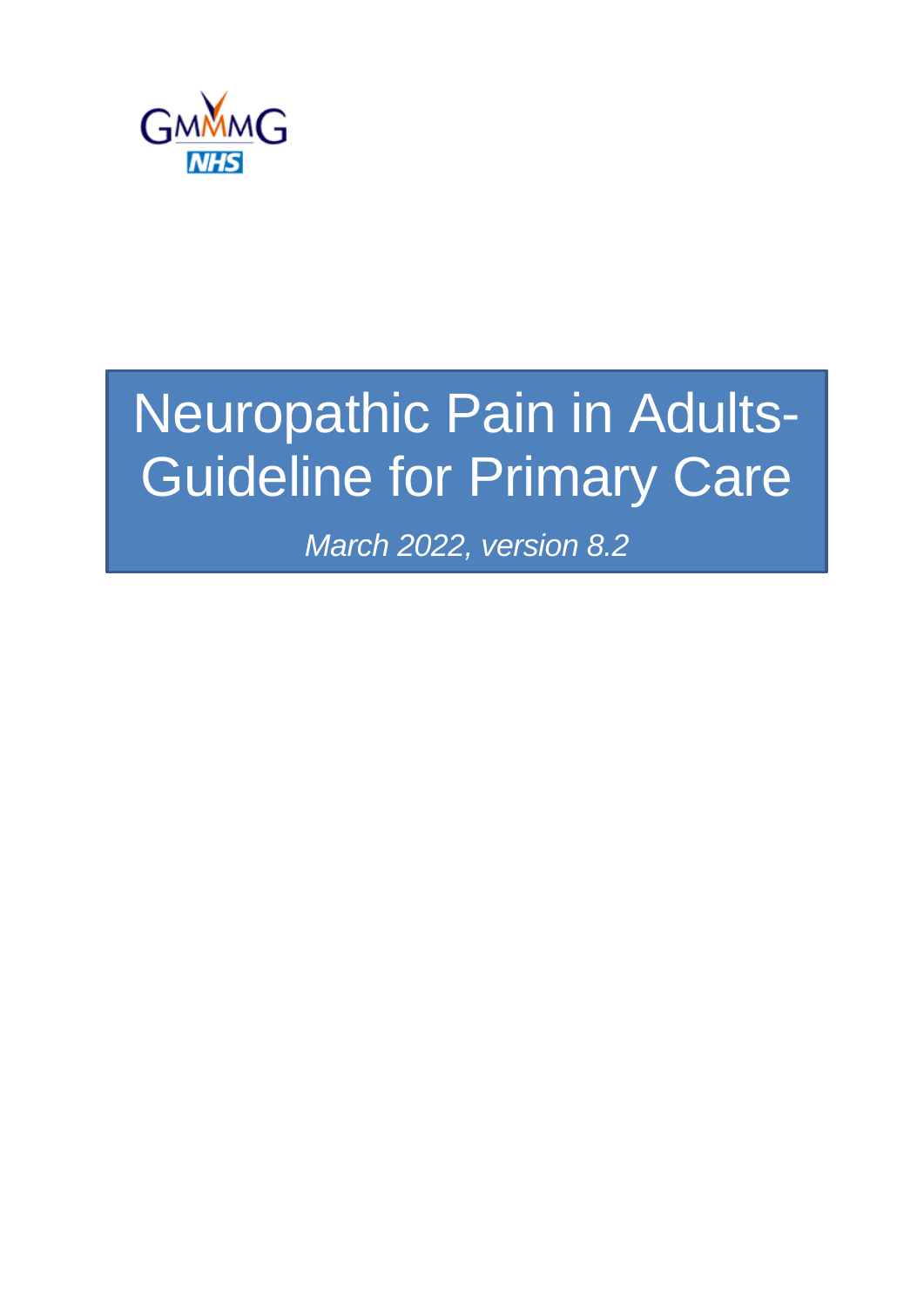

# Neuropathic Pain in Adults-Guideline for Primary Care

*March 2022, version 8.2*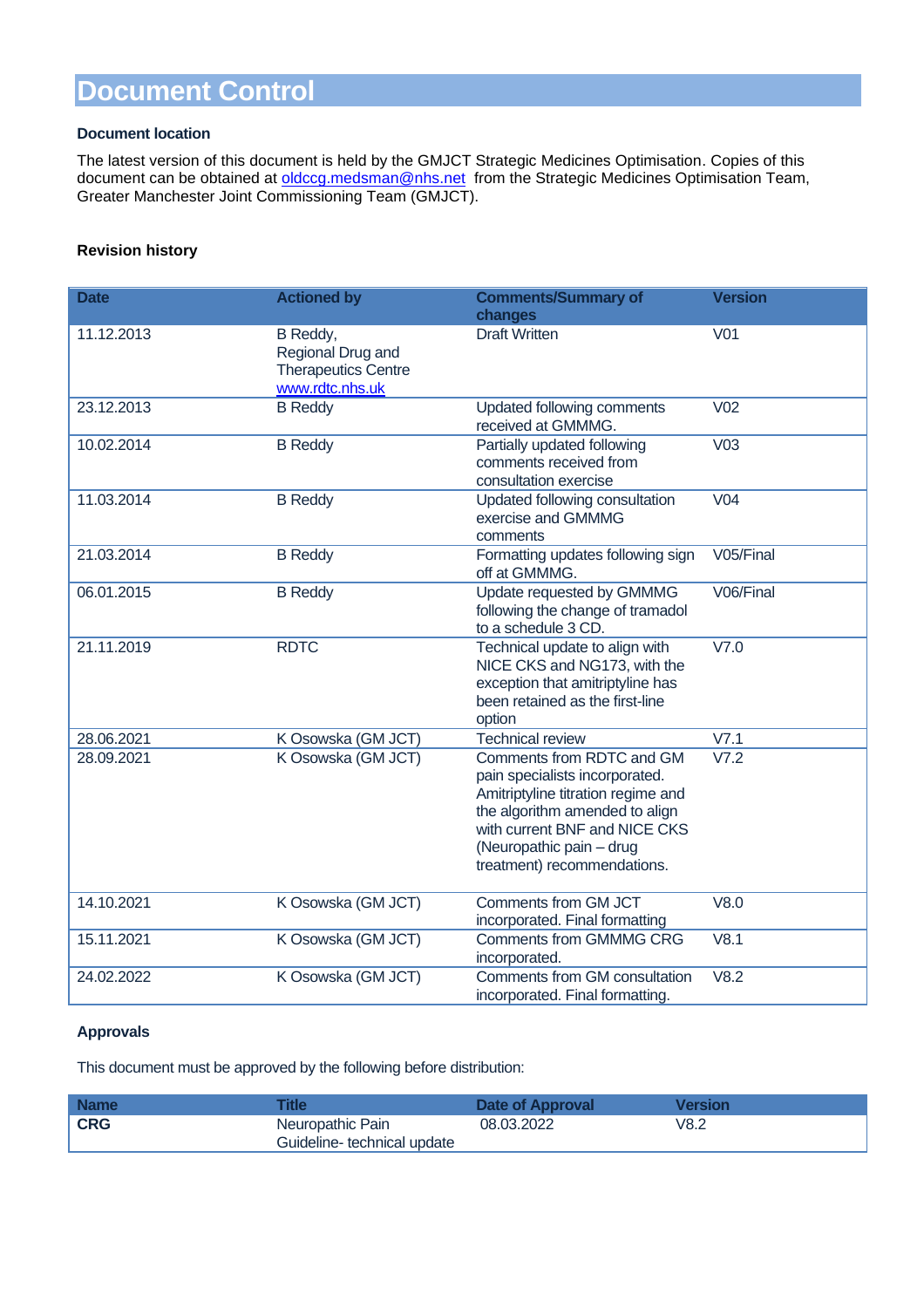### **Document Control**

#### **Document location**

 $\overline{a}$ 

The latest version of this document is held by the GMJCT Strategic Medicines Optimisation. Copies of this document can be obtained at [oldccg.medsman@nhs.net](mailto:oldccg.medsman@nhs.net) from the Strategic Medicines Optimisation Team, Greater Manchester Joint Commissioning Team (GMJCT).

#### **Revision history**

| <b>Date</b> | <b>Actioned by</b>                                                             | <b>Comments/Summary of</b><br>changes                                                                                                                                                                                           | <b>Version</b>  |
|-------------|--------------------------------------------------------------------------------|---------------------------------------------------------------------------------------------------------------------------------------------------------------------------------------------------------------------------------|-----------------|
| 11.12.2013  | B Reddy,<br>Regional Drug and<br><b>Therapeutics Centre</b><br>www.rdtc.nhs.uk | <b>Draft Written</b>                                                                                                                                                                                                            | V <sub>01</sub> |
| 23.12.2013  | <b>B</b> Reddy                                                                 | Updated following comments<br>received at GMMMG.                                                                                                                                                                                | V <sub>02</sub> |
| 10.02.2014  | <b>B</b> Reddy                                                                 | Partially updated following<br>comments received from<br>consultation exercise                                                                                                                                                  | V <sub>03</sub> |
| 11.03.2014  | <b>B</b> Reddy                                                                 | Updated following consultation<br>exercise and GMMMG<br>comments                                                                                                                                                                | V <sub>04</sub> |
| 21.03.2014  | <b>B</b> Reddy                                                                 | Formatting updates following sign<br>off at GMMMG.                                                                                                                                                                              | V05/Final       |
| 06.01.2015  | <b>B</b> Reddy                                                                 | Update requested by GMMMG<br>following the change of tramadol<br>to a schedule 3 CD.                                                                                                                                            | V06/Final       |
| 21.11.2019  | <b>RDTC</b>                                                                    | Technical update to align with<br>NICE CKS and NG173, with the<br>exception that amitriptyline has<br>been retained as the first-line<br>option                                                                                 | V7.0            |
| 28.06.2021  | K Osowska (GM JCT)                                                             | <b>Technical review</b>                                                                                                                                                                                                         | V7.1            |
| 28.09.2021  | K Osowska (GM JCT)                                                             | Comments from RDTC and GM<br>pain specialists incorporated.<br>Amitriptyline titration regime and<br>the algorithm amended to align<br>with current BNF and NICE CKS<br>(Neuropathic pain - drug<br>treatment) recommendations. | V7.2            |
| 14.10.2021  | K Osowska (GM JCT)                                                             | Comments from GM JCT<br>incorporated. Final formatting                                                                                                                                                                          | V8.0            |
| 15.11.2021  | K Osowska (GM JCT)                                                             | <b>Comments from GMMMG CRG</b><br>incorporated.                                                                                                                                                                                 | V8.1            |
| 24.02.2022  | K Osowska (GM JCT)                                                             | Comments from GM consultation<br>incorporated. Final formatting.                                                                                                                                                                | V8.2            |

#### **Approvals**

This document must be approved by the following before distribution:

| <b>Name</b> |                                                 | Date of Approval | Version |
|-------------|-------------------------------------------------|------------------|---------|
| <b>CRG</b>  | Neuropathic Pain<br>Guideline- technical update | 08.03.2022       | V8.2    |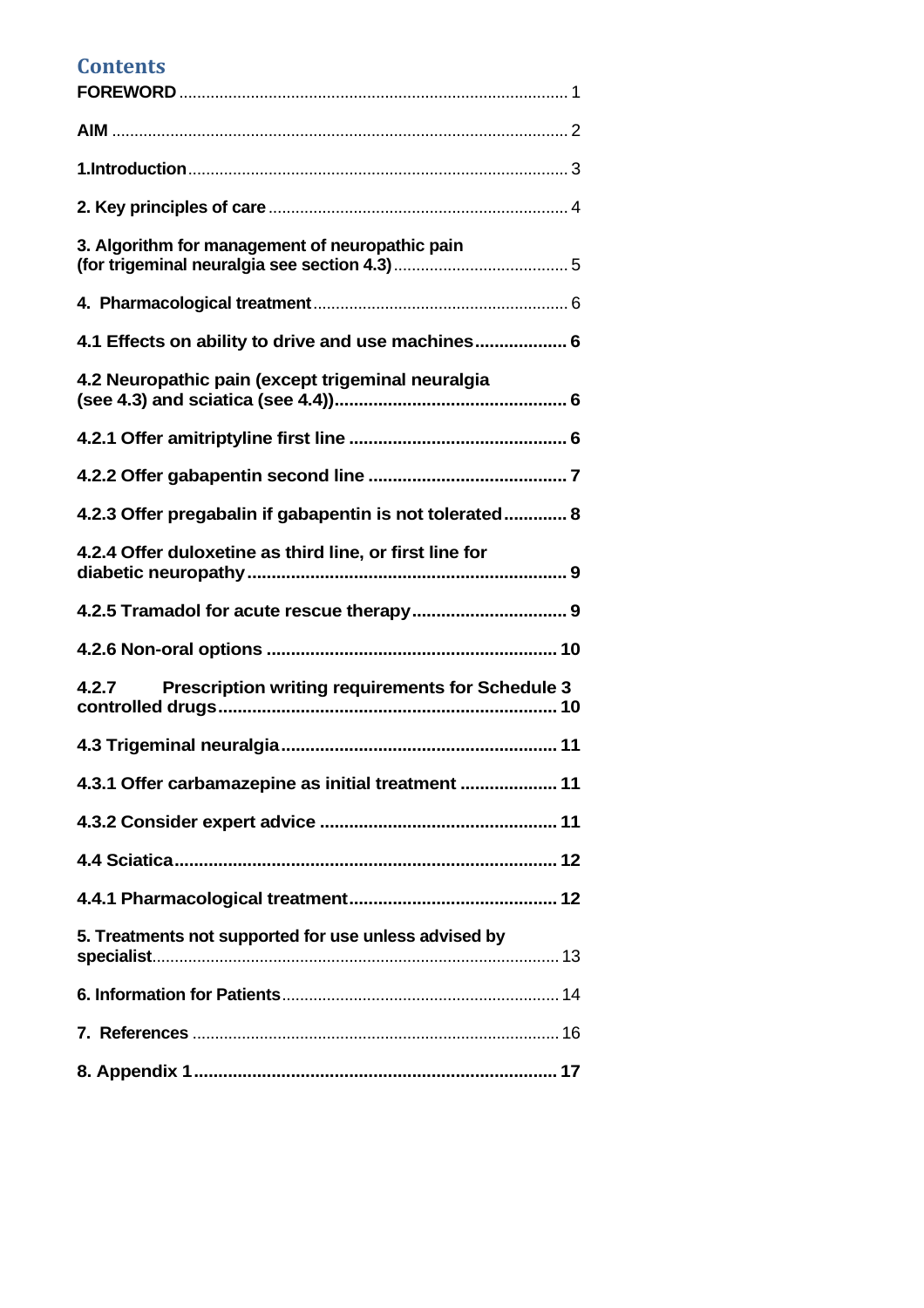### **Contents**

| 3. Algorithm for management of neuropathic pain                  |
|------------------------------------------------------------------|
|                                                                  |
| 4.1 Effects on ability to drive and use machines 6               |
| 4.2 Neuropathic pain (except trigeminal neuralgia                |
|                                                                  |
|                                                                  |
| 4.2.3 Offer pregabalin if gabapentin is not tolerated 8          |
| 4.2.4 Offer duloxetine as third line, or first line for          |
|                                                                  |
|                                                                  |
| <b>Prescription writing requirements for Schedule 3</b><br>4.2.7 |
|                                                                  |
| 4.3.1 Offer carbamazepine as initial treatment  11               |
|                                                                  |
|                                                                  |
|                                                                  |
| 5. Treatments not supported for use unless advised by            |
|                                                                  |
|                                                                  |
|                                                                  |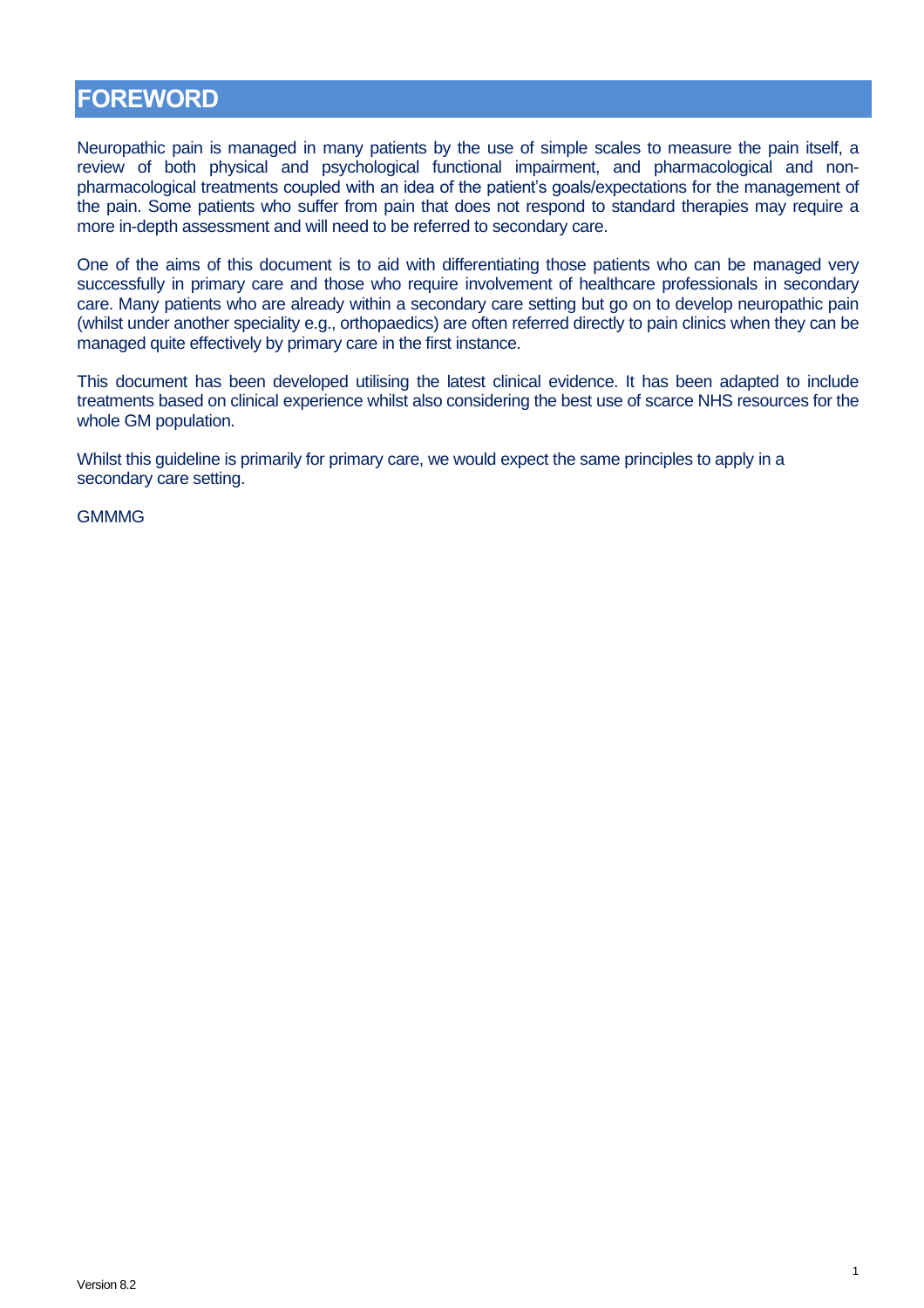### <span id="page-3-0"></span>**FOREWORD**

Neuropathic pain is managed in many patients by the use of simple scales to measure the pain itself, a review of both physical and psychological functional impairment, and pharmacological and nonpharmacological treatments coupled with an idea of the patient's goals/expectations for the management of the pain. Some patients who suffer from pain that does not respond to standard therapies may require a more in-depth assessment and will need to be referred to secondary care.

One of the aims of this document is to aid with differentiating those patients who can be managed very successfully in primary care and those who require involvement of healthcare professionals in secondary care. Many patients who are already within a secondary care setting but go on to develop neuropathic pain (whilst under another speciality e.g., orthopaedics) are often referred directly to pain clinics when they can be managed quite effectively by primary care in the first instance.

This document has been developed utilising the latest clinical evidence. It has been adapted to include treatments based on clinical experience whilst also considering the best use of scarce NHS resources for the whole GM population.

1

Whilst this guideline is primarily for primary care, we would expect the same principles to apply in a secondary care setting.

**GMMMG**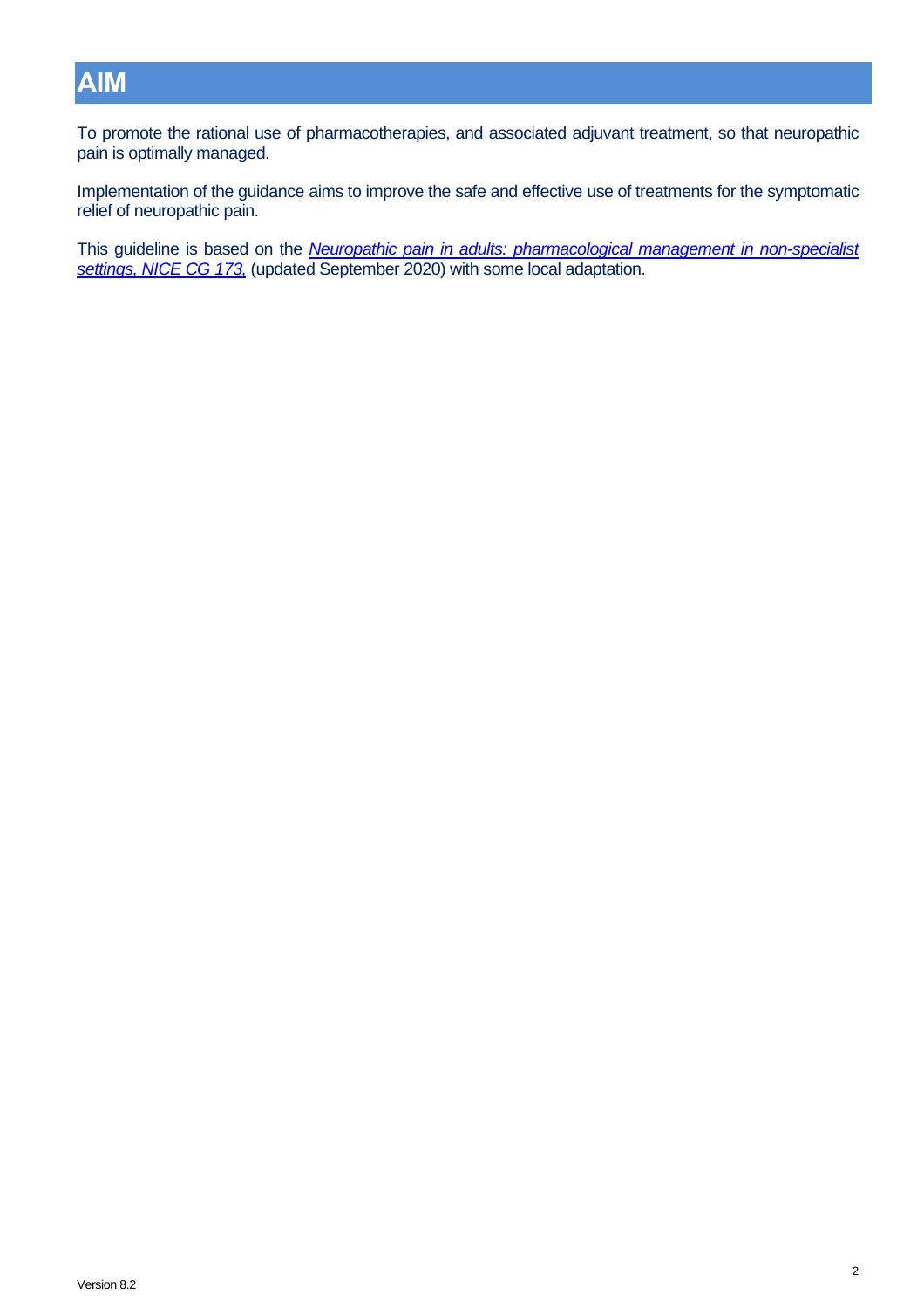# <span id="page-4-0"></span>**AIM**

To promote the rational use of pharmacotherapies, and associated adjuvant treatment, so that neuropathic pain is optimally managed.

Implementation of the guidance aims to improve the safe and effective use of treatments for the symptomatic relief of neuropathic pain.

This guideline is based on the *Neuropathic pain in adults: [pharmacological management in non-specialist](http://guidance.nice.org.uk/CG173)  settings, [NICE CG 173,](http://guidance.nice.org.uk/CG173)* (updated September 2020) with some local adaptation.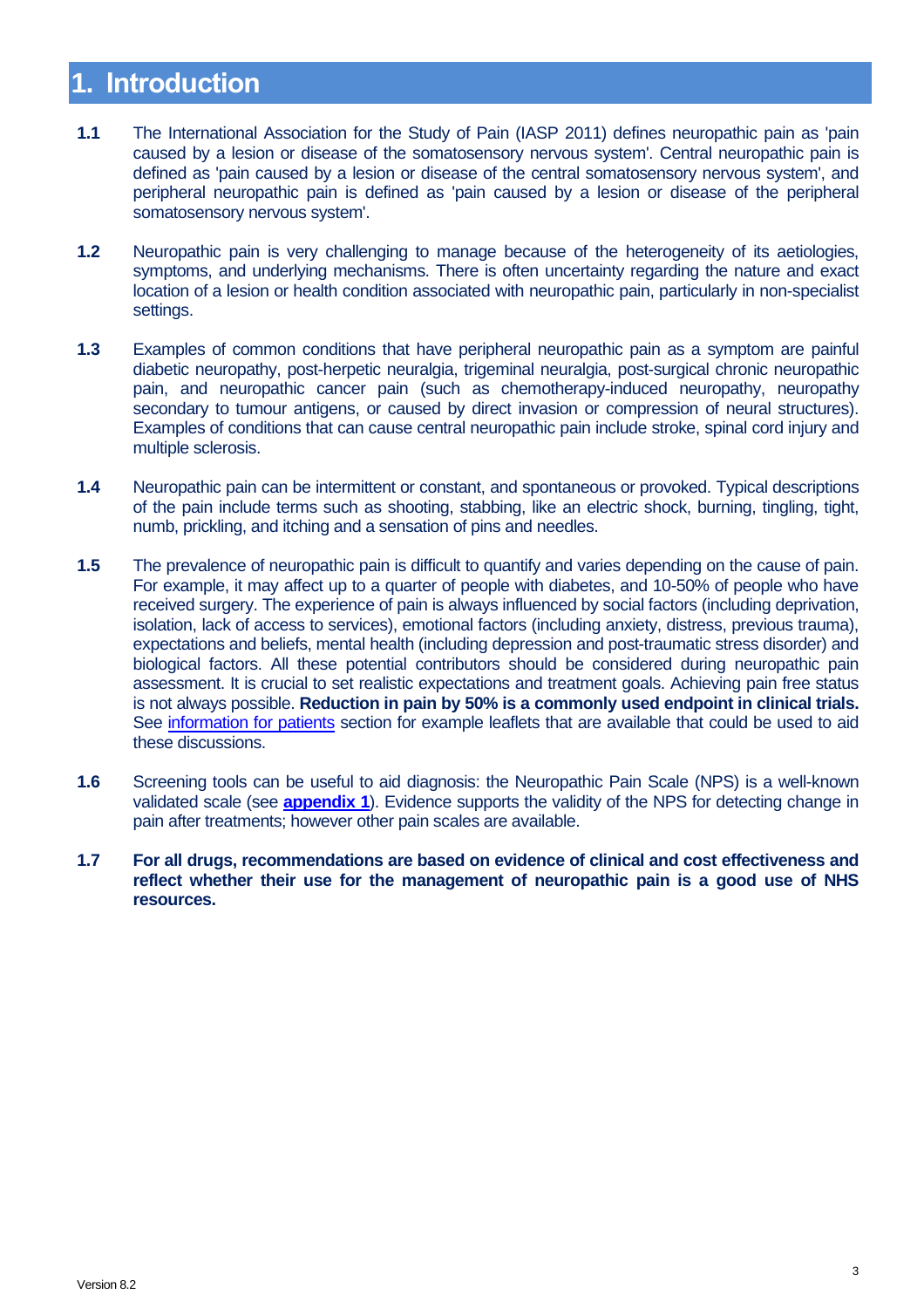# <span id="page-5-0"></span>**1. Introduction**

- **1.1** The International Association for the Study of Pain (IASP 2011) defines neuropathic pain as 'pain caused by a lesion or disease of the somatosensory nervous system'. Central neuropathic pain is defined as 'pain caused by a lesion or disease of the central somatosensory nervous system', and peripheral neuropathic pain is defined as 'pain caused by a lesion or disease of the peripheral somatosensory nervous system'.
- **1.2** Neuropathic pain is very challenging to manage because of the heterogeneity of its aetiologies, symptoms, and underlying mechanisms. There is often uncertainty regarding the nature and exact location of a lesion or health condition associated with neuropathic pain, particularly in non-specialist settings.
- **1.3** Examples of common conditions that have peripheral neuropathic pain as a symptom are painful diabetic neuropathy, post-herpetic neuralgia, trigeminal neuralgia, post-surgical chronic neuropathic pain, and neuropathic cancer pain (such as chemotherapy-induced neuropathy, neuropathy secondary to tumour antigens, or caused by direct invasion or compression of neural structures). Examples of conditions that can cause central neuropathic pain include stroke, spinal cord injury and multiple sclerosis.
- **1.4** Neuropathic pain can be intermittent or constant, and spontaneous or provoked. Typical descriptions of the pain include terms such as shooting, stabbing, like an electric shock, burning, tingling, tight, numb, prickling, and itching and a sensation of pins and needles.
- **1.5** The prevalence of neuropathic pain is difficult to quantify and varies depending on the cause of pain. For example, it may affect up to a quarter of people with diabetes, and 10-50% of people who have received surgery. The experience of pain is always influenced by social factors (including deprivation, isolation, lack of access to services), emotional factors (including anxiety, distress, previous trauma), expectations and beliefs, mental health (including depression and post-traumatic stress disorder) and biological factors. All these potential contributors should be considered during neuropathic pain assessment. It is crucial to set realistic expectations and treatment goals. Achieving pain free status is not always possible. **Reduction in pain by 50% is a commonly used endpoint in clinical trials.**  See [information for patients](#page-16-0) section for example leaflets that are available that could be used to aid these discussions.
- **1.6** Screening tools can be useful to aid diagnosis: the Neuropathic Pain Scale (NPS) is a well-known validated scale (see **[appendix](#page-19-1) 1**). Evidence supports the validity of the NPS for detecting change in pain after treatments; however other pain scales are available.
- **1.7 For all drugs, recommendations are based on evidence of clinical and cost effectiveness and reflect whether their use for the management of neuropathic pain is a good use of NHS resources.**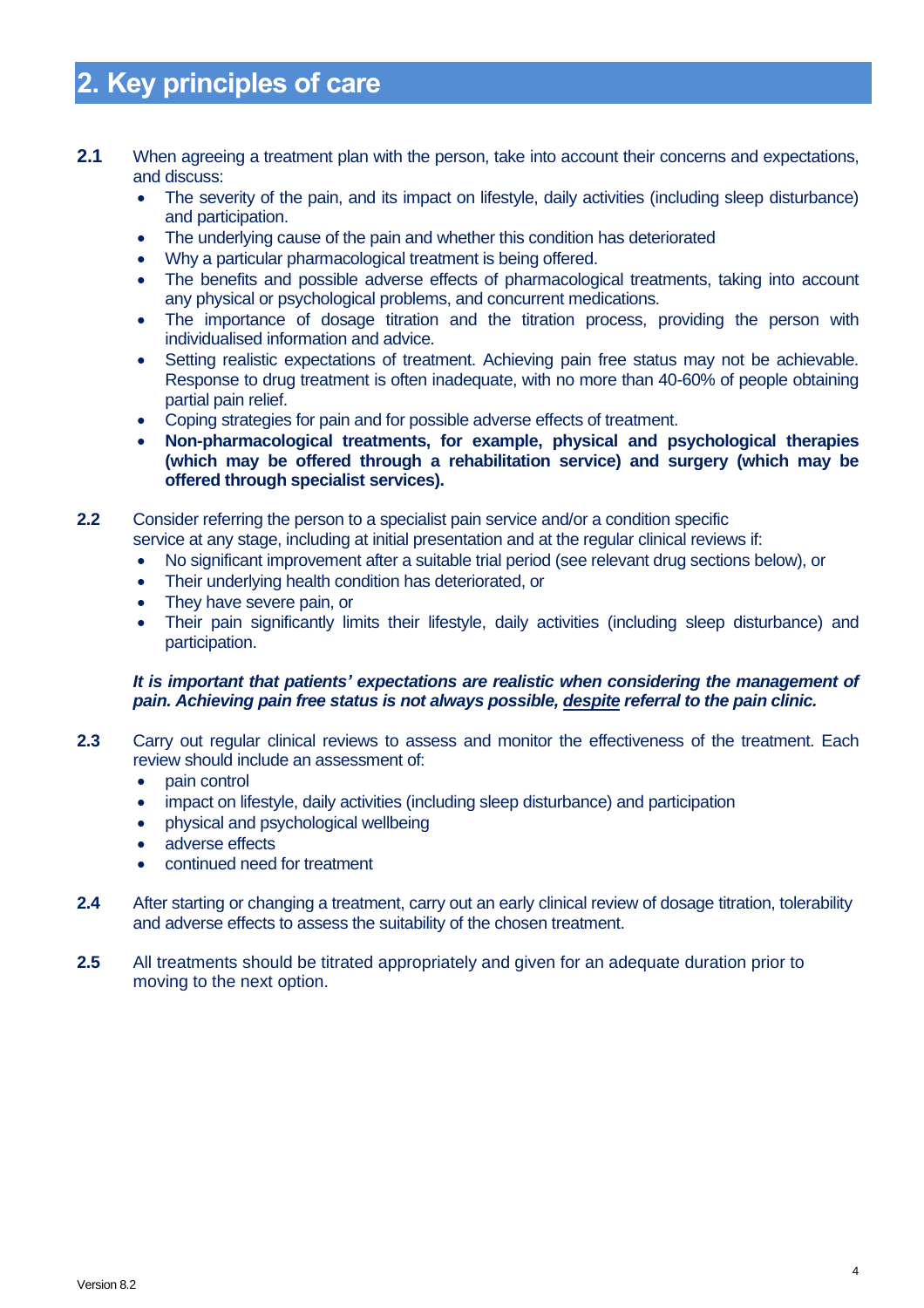# <span id="page-6-0"></span>**2. Key principles of care**

- **2.1** When agreeing a treatment plan with the person, take into account their concerns and expectations, and discuss:
	- The severity of the pain, and its impact on lifestyle, daily activities (including sleep disturbance) and participation.
	- The underlying cause of the pain and whether this condition has deteriorated
	- Why a particular pharmacological treatment is being offered.
	- The benefits and possible adverse effects of pharmacological treatments, taking into account any physical or psychological problems, and concurrent medications.
	- The importance of dosage titration and the titration process, providing the person with individualised information and advice.
	- Setting realistic expectations of treatment. Achieving pain free status may not be achievable. Response to drug treatment is often inadequate, with no more than 40-60% of people obtaining partial pain relief.
	- Coping strategies for pain and for possible adverse effects of treatment.
	- **Non-pharmacological treatments, for example, physical and psychological therapies (which may be offered through a rehabilitation service) and surgery (which may be offered through specialist services).**

**2.2** Consider referring the person to a specialist pain service and/or a condition specific service at any stage, including at initial presentation and at the regular clinical reviews if:

- No significant improvement after a suitable trial period (see relevant drug sections below), or
- Their underlying health condition has deteriorated, or
- They have severe pain, or
- Their pain significantly limits their lifestyle, daily activities (including sleep disturbance) and participation.

#### *It is important that patients' expectations are realistic when considering the management of pain. Achieving pain free status is not always possible, despite referral to the pain clinic.*

- **2.3** Carry out regular clinical reviews to assess and monitor the effectiveness of the treatment. Each review should include an assessment of:
	- pain control
	- impact on lifestyle, daily activities (including sleep disturbance) and participation
	- physical and psychological wellbeing
	- adverse effects
	- continued need for treatment
- **2.4** After starting or changing a treatment, carry out an early clinical review of dosage titration, tolerability and adverse effects to assess the suitability of the chosen treatment.
- **2.5** All treatments should be titrated appropriately and given for an adequate duration prior to moving to the next option.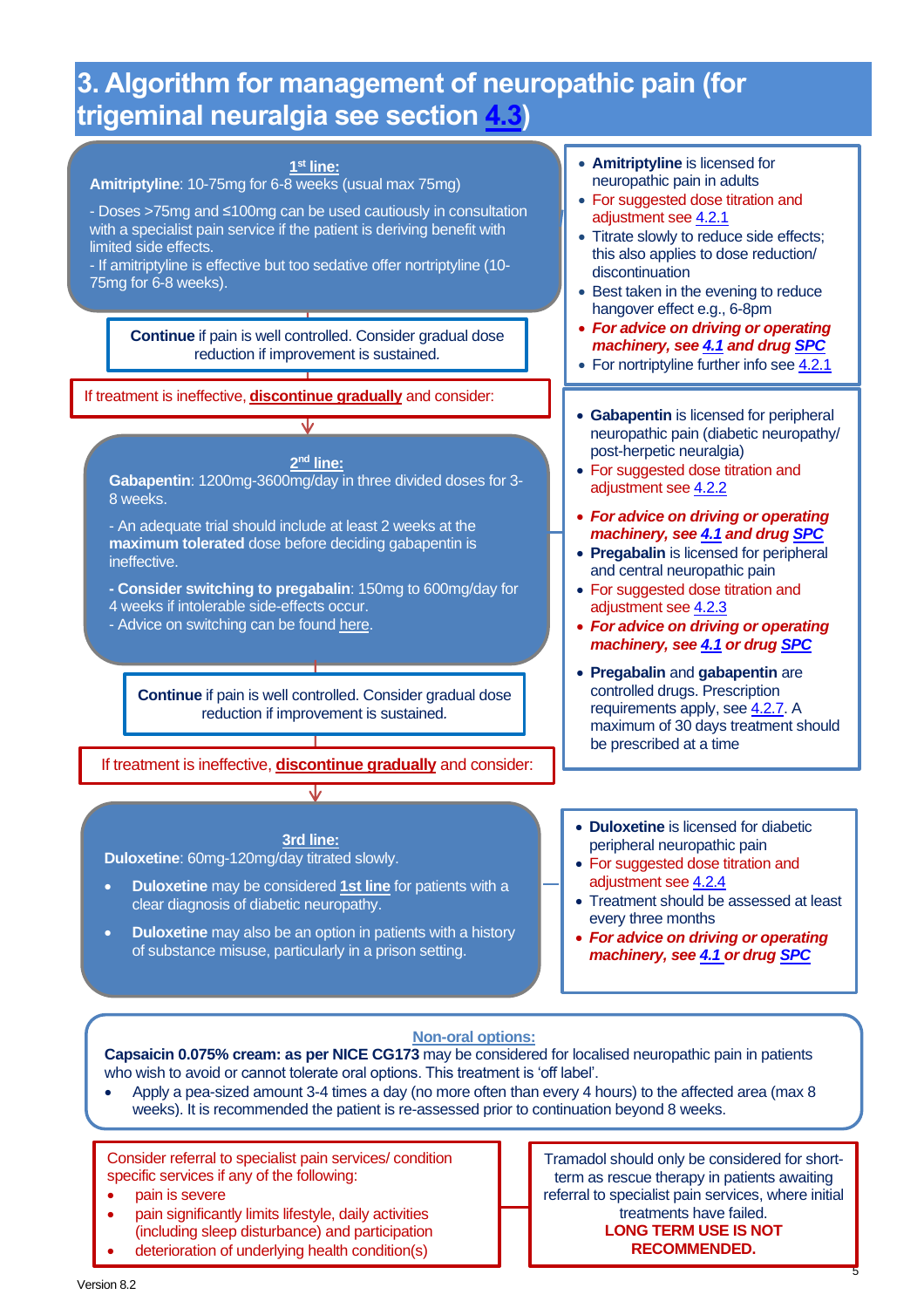# <span id="page-7-0"></span>**3. Algorithm for management of neuropathic pain (for trigeminal neuralgia see section [4.3\)](#page-13-0)**



#### **Non-oral options:**

**Capsaicin 0.075% cream: as per NICE CG173** may be considered for localised neuropathic pain in patients who wish to avoid or cannot tolerate oral options. This treatment is 'off label'.

• Apply a pea-sized amount 3-4 times a day (no more often than every 4 hours) to the affected area (max 8 weeks). It is recommended the patient is re-assessed prior to continuation beyond 8 weeks.

Consider referral to specialist pain services/ condition specific services if any of the following:

- pain is severe
- pain significantly limits lifestyle, daily activities (including sleep disturbance) and participation
- deterioration of underlying health condition(s)

Tramadol should only be considered for shortterm as rescue therapy in patients awaiting referral to specialist pain services, where initial treatments have failed. **LONG TERM USE IS NOT RECOMMENDED.**

5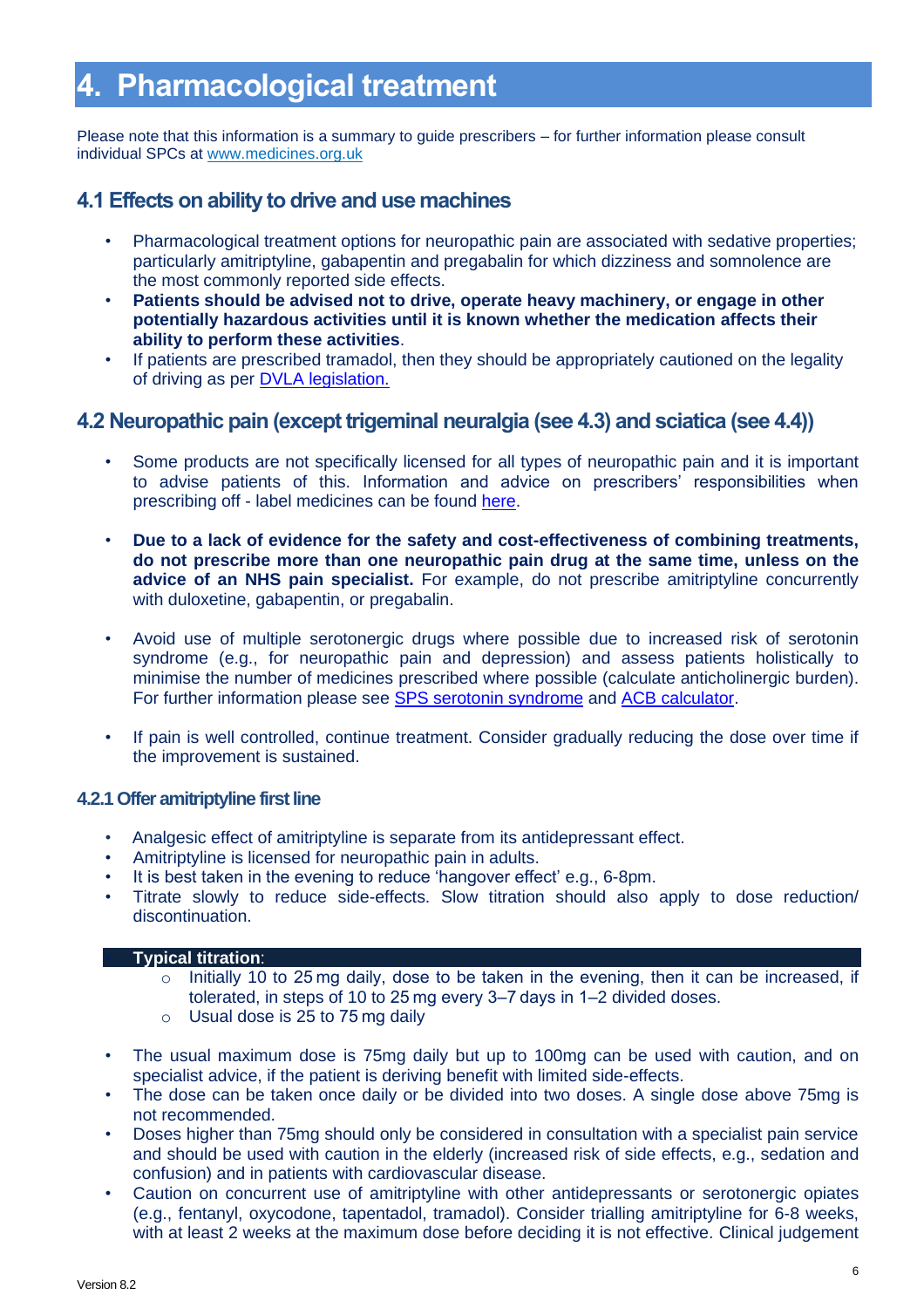# <span id="page-8-0"></span>**4. Pharmacological treatment**

Please note that this information is a summary to guide prescribers – for further information please consult individual SPCs at [www.medicines.org.uk](http://www.medicines.org.uk/)

### <span id="page-8-1"></span>**4.1 Effects on ability to drive and use machines**

- Pharmacological treatment options for neuropathic pain are associated with sedative properties; particularly amitriptyline, gabapentin and pregabalin for which dizziness and somnolence are the most commonly reported side effects.
- **Patients should be advised not to drive, operate heavy machinery, or engage in other potentially hazardous activities until it is known whether the medication affects their ability to perform these activities**.
- If patients are prescribed tramadol, then they should be appropriately cautioned on the legality of driving as per [DVLA legislation.](https://www.gov.uk/drug-driving-law)

### <span id="page-8-2"></span>**4.2 Neuropathic pain (except trigeminal neuralgia (see 4.3) and sciatica (see 4.4))**

- Some products are not specifically licensed for all types of neuropathic pain and it is important to advise patients of this. Information and advice on prescribers' responsibilities when prescribing off - label medicines can be found [here.](https://www.gov.uk/drug-safety-update/off-label-or-unlicensed-use-of-medicines-prescribers-responsibilities#examples-of-off-label-use-of-medicines)
- **Due to a lack of evidence for the safety and cost-effectiveness of combining treatments, do not prescribe more than one neuropathic pain drug at the same time, unless on the advice of an NHS pain specialist.** For example, do not prescribe amitriptyline concurrently with duloxetine, gabapentin, or pregabalin.
- Avoid use of multiple serotonergic drugs where possible due to increased risk of serotonin syndrome (e.g., for neuropathic pain and depression) and assess patients holistically to minimise the number of medicines prescribed where possible (calculate anticholinergic burden). For further information please see [SPS serotonin syndrome](https://www.sps.nhs.uk/articles/what-is-serotonin-syndrome-and-which-medicines-cause-it-2/) and [ACB calculator.](http://www.acbcalc.com/)
- If pain is well controlled, continue treatment. Consider gradually reducing the dose over time if the improvement is sustained.

#### <span id="page-8-3"></span>**4.2.1 Offer amitriptyline first line**

- Analgesic effect of amitriptyline is separate from its antidepressant effect.
- Amitriptyline is licensed for neuropathic pain in adults.
- It is best taken in the evening to reduce 'hangover effect' e.g., 6-8pm.
- Titrate slowly to reduce side-effects. Slow titration should also apply to dose reduction/ discontinuation.

#### • **Typical titration**:

- o Initially 10 to 25 mg daily, dose to be taken in the evening, then it can be increased, if tolerated, in steps of 10 to 25 mg every 3–7 days in 1–2 divided doses.
- o Usual dose is 25 to 75 mg daily
- The usual maximum dose is 75mg daily but up to 100mg can be used with caution, and on specialist advice, if the patient is deriving benefit with limited side-effects.
- The dose can be taken once daily or be divided into two doses. A single dose above 75mg is not recommended.
- Doses higher than 75mg should only be considered in consultation with a specialist pain service and should be used with caution in the elderly (increased risk of side effects, e.g., sedation and confusion) and in patients with cardiovascular disease.
- Caution on concurrent use of amitriptyline with other antidepressants or serotonergic opiates (e.g., fentanyl, oxycodone, tapentadol, tramadol). Consider trialling amitriptyline for 6-8 weeks, with at least 2 weeks at the maximum dose before deciding it is not effective. Clinical judgement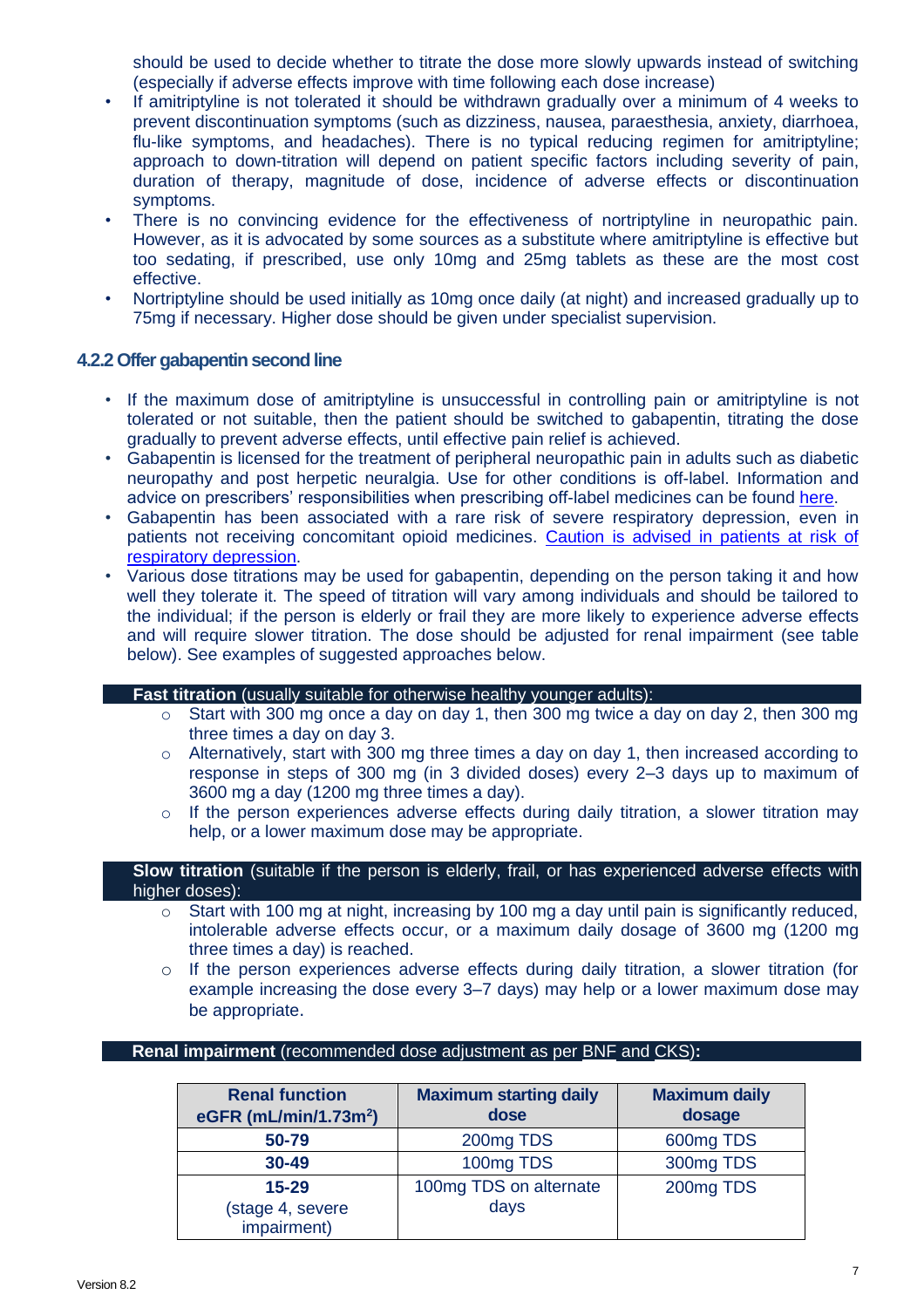should be used to decide whether to titrate the dose more slowly upwards instead of switching (especially if adverse effects improve with time following each dose increase)

- If amitriptyline is not tolerated it should be withdrawn gradually over a minimum of 4 weeks to prevent discontinuation symptoms (such as dizziness, nausea, paraesthesia, anxiety, diarrhoea, flu-like symptoms, and headaches). There is no typical reducing regimen for amitriptyline; approach to down-titration will depend on patient specific factors including severity of pain, duration of therapy, magnitude of dose, incidence of adverse effects or discontinuation symptoms.
- There is no convincing evidence for the effectiveness of nortriptyline in neuropathic pain. However, as it is advocated by some sources as a substitute where amitriptyline is effective but too sedating, if prescribed, use only 10mg and 25mg tablets as these are the most cost effective.
- Nortriptyline should be used initially as 10mg once daily (at night) and increased gradually up to 75mg if necessary. Higher dose should be given under specialist supervision.

#### <span id="page-9-0"></span>**4.2.2 Offer gabapentin second line**

- If the maximum dose of amitriptyline is unsuccessful in controlling pain or amitriptyline is not tolerated or not suitable, then the patient should be switched to gabapentin, titrating the dose gradually to prevent adverse effects, until effective pain relief is achieved.
- Gabapentin is licensed for the treatment of peripheral neuropathic pain in adults such as diabetic neuropathy and post herpetic neuralgia. Use for other conditions is off-label. Information and advice on prescribers' responsibilities when prescribing off-label medicines can be found [here.](https://www.gov.uk/drug-safety-update/off-label-or-unlicensed-use-of-medicines-prescribers-responsibilities#examples-of-off-label-use-of-medicines)
- Gabapentin has been associated with a rare risk of severe respiratory depression, even in patients not receiving concomitant opioid medicines. [Caution is advised in patients at risk of](https://www.gov.uk/drug-safety-update/gabapentin-neurontin-risk-of-severe-respiratory-depression)  [respiratory depression.](https://www.gov.uk/drug-safety-update/gabapentin-neurontin-risk-of-severe-respiratory-depression)
- Various dose titrations may be used for gabapentin, depending on the person taking it and how well they tolerate it. The speed of titration will vary among individuals and should be tailored to the individual; if the person is elderly or frail they are more likely to experience adverse effects and will require slower titration. The dose should be adjusted for renal impairment (see table below). See examples of suggested approaches below.

#### • **Fast titration** (usually suitable for otherwise healthy younger adults):

- $\circ$  Start with 300 mg once a day on day 1, then 300 mg twice a day on day 2, then 300 mg three times a day on day 3.
- $\circ$  Alternatively, start with 300 mg three times a day on day 1, then increased according to response in steps of 300 mg (in 3 divided doses) every 2–3 days up to maximum of 3600 mg a day (1200 mg three times a day).
- $\circ$  If the person experiences adverse effects during daily titration, a slower titration may help, or a lower maximum dose may be appropriate.

• **Slow titration** (suitable if the person is elderly, frail, or has experienced adverse effects with higher doses):

- $\circ$  Start with 100 mg at night, increasing by 100 mg a day until pain is significantly reduced, intolerable adverse effects occur, or a maximum daily dosage of 3600 mg (1200 mg three times a day) is reached.
- o If the person experiences adverse effects during daily titration, a slower titration (for example increasing the dose every 3–7 days) may help or a lower maximum dose may be appropriate.

#### • **Renal impairment** (recommended dose adjustment as per [BNF](https://www.medicinescomplete.com/#/content/bnf/_626504433) and [CKS\)](https://cks.nice.org.uk/neuropathic-pain-drug-treatment#!prescribingInfoSub:12)**:**

| <b>Renal function</b><br>eGFR (mL/min/1.73m <sup>2</sup> ) | <b>Maximum starting daily</b><br>dose | <b>Maximum daily</b><br>dosage |  |  |  |  |
|------------------------------------------------------------|---------------------------------------|--------------------------------|--|--|--|--|
| 50-79                                                      | 200mg TDS                             | 600mg TDS                      |  |  |  |  |
| $30 - 49$                                                  | 100mg TDS                             | 300mg TDS                      |  |  |  |  |
| $15 - 29$<br>(stage 4, severe<br>impairment)               | 100mg TDS on alternate<br>days        | 200mg TDS                      |  |  |  |  |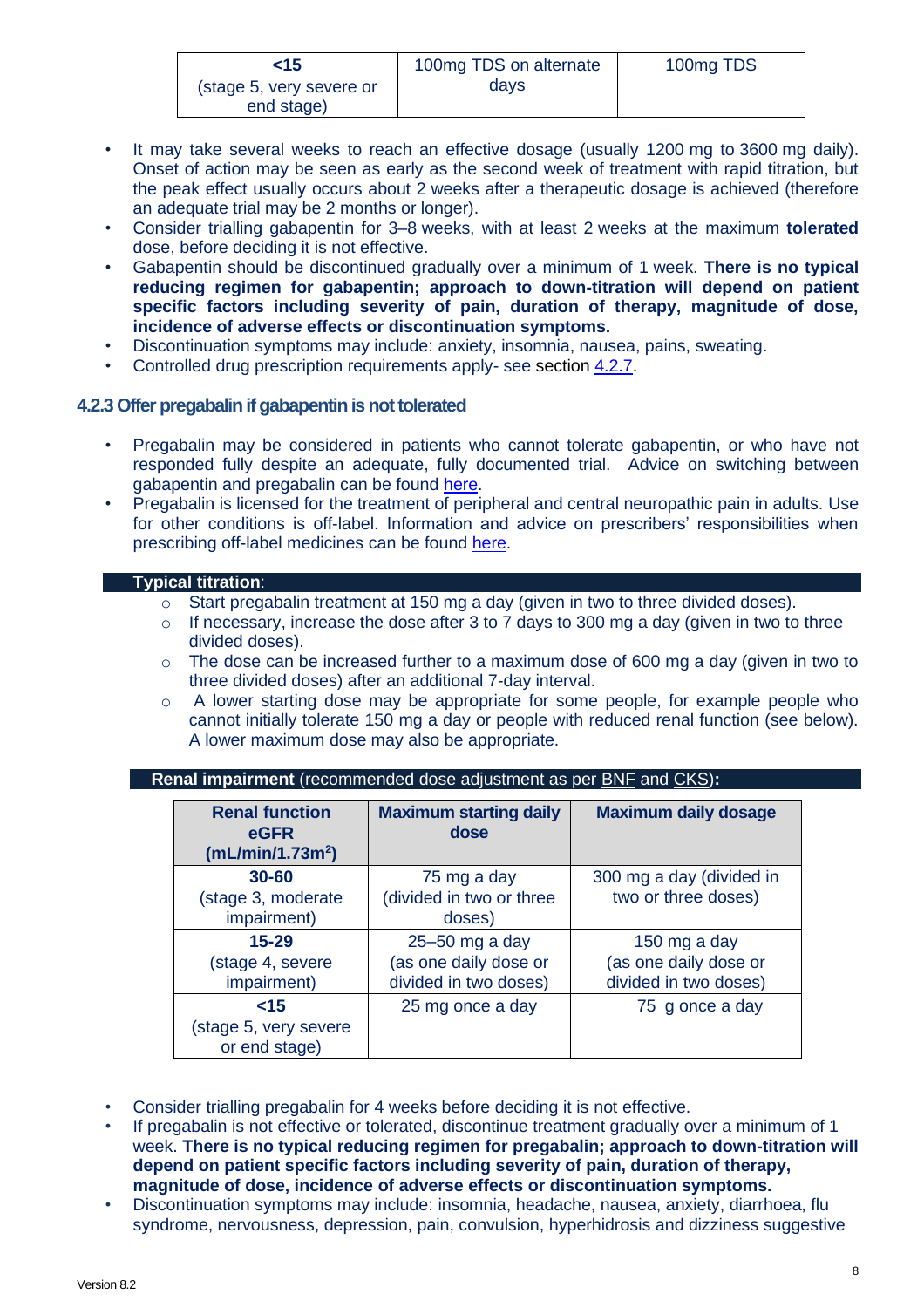| $<$ 15                                 | 100mg TDS on alternate | 100mg TDS |
|----------------------------------------|------------------------|-----------|
| (stage 5, very severe or<br>end stage) | davs                   |           |

- It may take several weeks to reach an effective dosage (usually 1200 mg to 3600 mg daily). Onset of action may be seen as early as the second week of treatment with rapid titration, but the peak effect usually occurs about 2 weeks after a therapeutic dosage is achieved (therefore an adequate trial may be 2 months or longer).
- Consider trialling gabapentin for 3–8 weeks, with at least 2 weeks at the maximum **tolerated** dose, before deciding it is not effective.
- Gabapentin should be discontinued gradually over a minimum of 1 week. **There is no typical reducing regimen for gabapentin; approach to down-titration will depend on patient specific factors including severity of pain, duration of therapy, magnitude of dose, incidence of adverse effects or discontinuation symptoms.**
- Discontinuation symptoms may include: anxiety, insomnia, nausea, pains, sweating.
- Controlled drug prescription requirements apply- see section [4.2.7.](#page-12-1)

#### <span id="page-10-0"></span>**4.2.3 Offer pregabalin if gabapentin is not tolerated**

- Pregabalin may be considered in patients who cannot tolerate gabapentin, or who have not responded fully despite an adequate, fully documented trial. Advice on switching between gabapentin and pregabalin can be found [here.](https://www.sps.nhs.uk/articles/how-do-you-switch-between-pregabalin-and-gabapentin-for-neuropathic-pain-and-vice-versa/)
- Pregabalin is licensed for the treatment of peripheral and central neuropathic pain in adults. Use for other conditions is off-label. Information and advice on prescribers' responsibilities when prescribing off-label medicines can be found [here.](https://www.gov.uk/drug-safety-update/off-label-or-unlicensed-use-of-medicines-prescribers-responsibilities#examples-of-off-label-use-of-medicines)

#### • **Typical titration**:

- o Start pregabalin treatment at 150 mg a day (given in two to three divided doses).
- $\circ$  If necessary, increase the dose after 3 to 7 days to 300 mg a day (given in two to three divided doses).
- $\circ$  The dose can be increased further to a maximum dose of 600 mg a day (given in two to three divided doses) after an additional 7-day interval.
- o A lower starting dose may be appropriate for some people, for example people who cannot initially tolerate 150 mg a day or people with reduced renal function (see below). A lower maximum dose may also be appropriate.

#### **Renal impairment** (recommended dose adjustment as per [BNF](https://www.medicinescomplete.com/#/content/bnf/_626504433?hspl=gabapentin) and [CKS\)](https://cks.nice.org.uk/neuropathic-pain-drug-treatment#!prescribingInfoSub:12)**:**

| <b>Renal function</b><br>eGFR<br>(mL/min/1.73m <sup>2</sup> ) | <b>Maximum starting daily</b><br>dose | <b>Maximum daily dosage</b> |
|---------------------------------------------------------------|---------------------------------------|-----------------------------|
|                                                               |                                       |                             |
| $30 - 60$                                                     | 75 mg a day                           | 300 mg a day (divided in    |
| (stage 3, moderate                                            | (divided in two or three              | two or three doses)         |
| impairment)                                                   | doses)                                |                             |
| $15 - 29$                                                     | $25 - 50$ mg a day                    | 150 mg a day                |
| (stage 4, severe                                              | (as one daily dose or                 | (as one daily dose or       |
| impairment)                                                   | divided in two doses)                 | divided in two doses)       |
| ~15                                                           | 25 mg once a day                      | 75 g once a day             |
| (stage 5, very severe                                         |                                       |                             |
| or end stage)                                                 |                                       |                             |

- Consider trialling pregabalin for 4 weeks before deciding it is not effective.
- If pregabalin is not effective or tolerated, discontinue treatment gradually over a minimum of 1 week. **There is no typical reducing regimen for pregabalin; approach to down-titration will depend on patient specific factors including severity of pain, duration of therapy, magnitude of dose, incidence of adverse effects or discontinuation symptoms.**
- Discontinuation symptoms may include: insomnia, headache, nausea, anxiety, diarrhoea, flu syndrome, nervousness, depression, pain, convulsion, hyperhidrosis and dizziness suggestive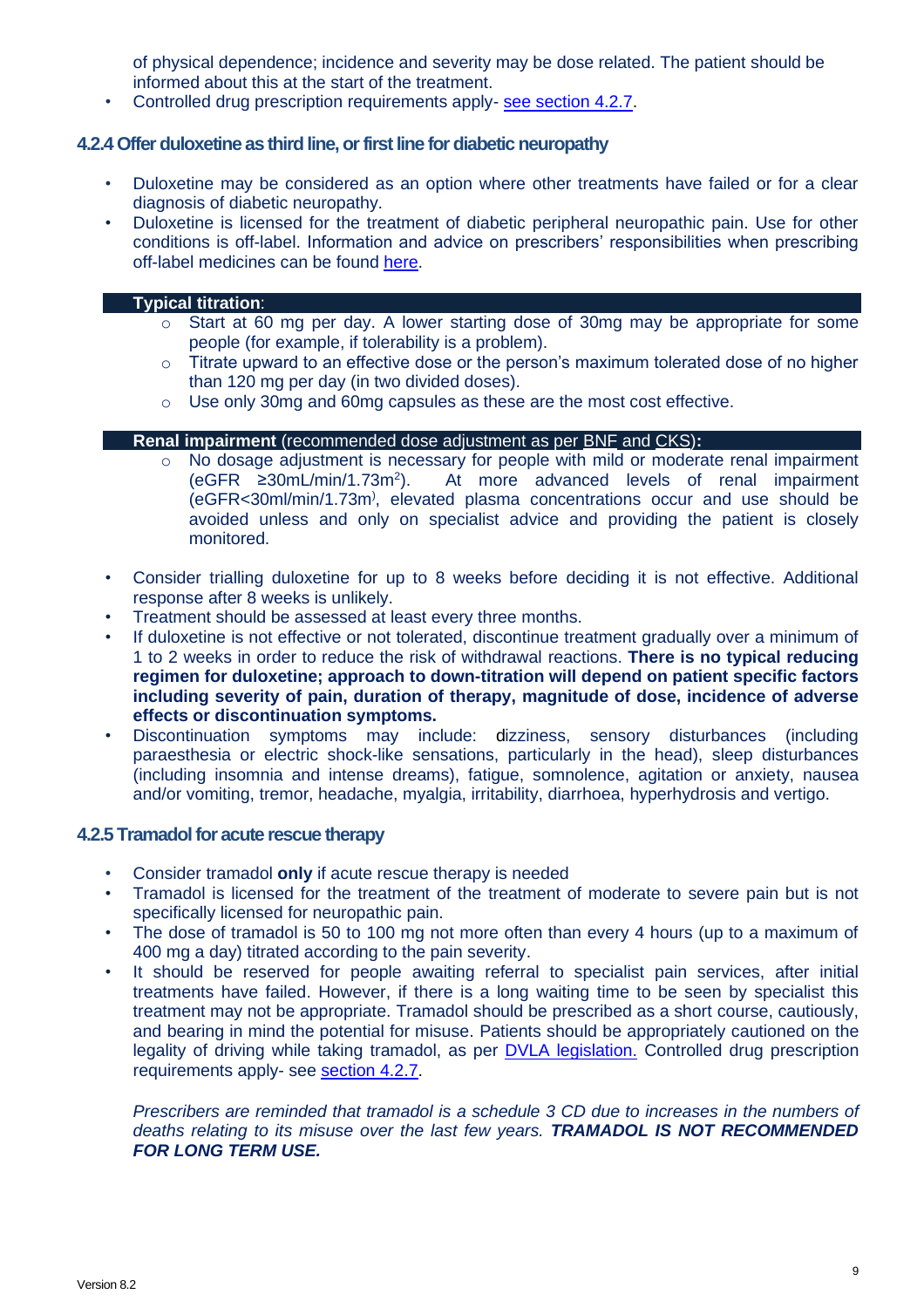of physical dependence; incidence and severity may be dose related. The patient should be informed about this at the start of the treatment.

• Controlled drug prescription requirements apply- [see section 4.2.7.](#page-12-1)

#### <span id="page-11-0"></span>**4.2.4Offer duloxetine as third line, or first line for diabetic neuropathy**

- Duloxetine may be considered as an option where other treatments have failed or for a clear diagnosis of diabetic neuropathy.
- Duloxetine is licensed for the treatment of diabetic peripheral neuropathic pain. Use for other conditions is off-label. Information and advice on prescribers' responsibilities when prescribing off-label medicines can be found [here.](https://www.gov.uk/drug-safety-update/off-label-or-unlicensed-use-of-medicines-prescribers-responsibilities#examples-of-off-label-use-of-medicines)

#### • **Typical titration**:

- o Start at 60 mg per day. A lower starting dose of 30mg may be appropriate for some people (for example, if tolerability is a problem).
- $\circ$  Titrate upward to an effective dose or the person's maximum tolerated dose of no higher than 120 mg per day (in two divided doses).
- o Use only 30mg and 60mg capsules as these are the most cost effective.

#### • **Renal impairment** (recommended dose adjustment as per [BNF](https://www.medicinescomplete.com/#/content/bnf/_626504433?hspl=gabapentin) and [CKS\)](https://cks.nice.org.uk/neuropathic-pain-drug-treatment#!prescribingInfoSub:12)**:**

- o No dosage adjustment is necessary for people with mild or moderate renal impairment  $(eGFR \geq 30mL/min/1.73m^2)$ . ). At more advanced levels of renal impairment (eGFR<30ml/min/1.73m) , elevated plasma concentrations occur and use should be avoided unless and only on specialist advice and providing the patient is closely monitored.
- Consider trialling duloxetine for up to 8 weeks before deciding it is not effective. Additional response after 8 weeks is unlikely.
- Treatment should be assessed at least every three months.
- If duloxetine is not effective or not tolerated, discontinue treatment gradually over a minimum of 1 to 2 weeks in order to reduce the risk of withdrawal reactions. **There is no typical reducing regimen for duloxetine; approach to down-titration will depend on patient specific factors including severity of pain, duration of therapy, magnitude of dose, incidence of adverse effects or discontinuation symptoms.**
- Discontinuation symptoms may include: dizziness, sensory disturbances (including paraesthesia or electric shock-like sensations, particularly in the head), sleep disturbances (including insomnia and intense dreams), fatigue, somnolence, agitation or anxiety, nausea and/or vomiting, tremor, headache, myalgia, irritability, diarrhoea, hyperhydrosis and vertigo.

#### <span id="page-11-1"></span>**4.2.5 Tramadol for acute rescue therapy**

- Consider tramadol **only** if acute rescue therapy is needed
- Tramadol is licensed for the treatment of the treatment of moderate to severe pain but is not specifically licensed for neuropathic pain.
- The dose of tramadol is 50 to 100 mg not more often than every 4 hours (up to a maximum of 400 mg a day) titrated according to the pain severity.
- It should be reserved for people awaiting referral to specialist pain services, after initial treatments have failed. However, if there is a long waiting time to be seen by specialist this treatment may not be appropriate. Tramadol should be prescribed as a short course, cautiously, and bearing in mind the potential for misuse. Patients should be appropriately cautioned on the legality of driving while taking tramadol, as per [DVLA legislation.](https://www.gov.uk/drug-driving-law) Controlled drug prescription requirements apply- see [section 4.2.7.](#page-12-1)

*Prescribers are reminded that tramadol is a schedule 3 CD due to increases in the numbers of deaths relating to its misuse over the last few years. TRAMADOL IS NOT RECOMMENDED FOR LONG TERM USE.*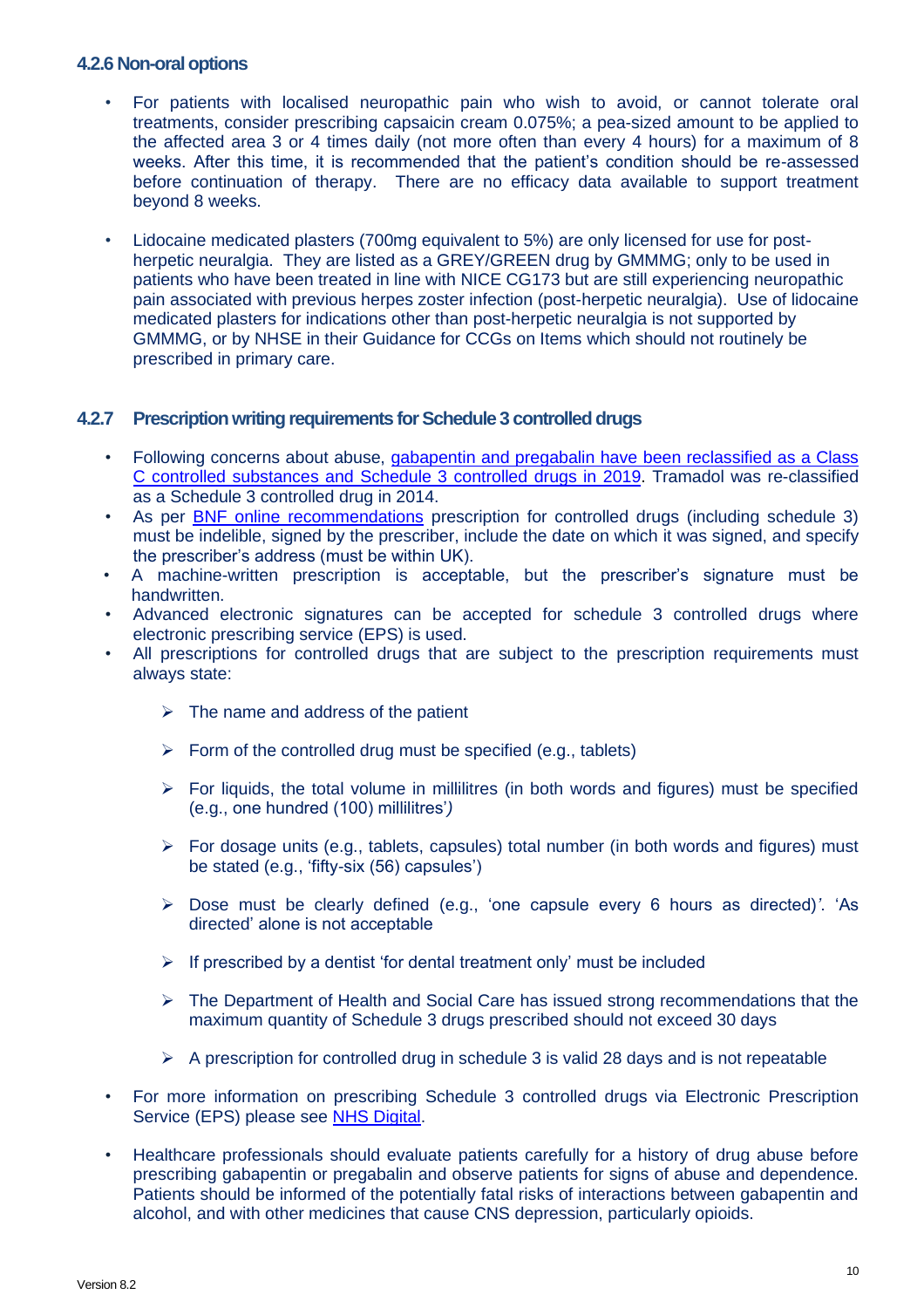#### <span id="page-12-0"></span>**4.2.6 Non-oral options**

- For patients with localised neuropathic pain who wish to avoid, or cannot tolerate oral treatments, consider prescribing capsaicin cream 0.075%; a pea-sized amount to be applied to the affected area 3 or 4 times daily (not more often than every 4 hours) for a maximum of 8 weeks. After this time, it is recommended that the patient's condition should be re-assessed before continuation of therapy. There are no efficacy data available to support treatment beyond 8 weeks.
- Lidocaine medicated plasters (700mg equivalent to 5%) are only licensed for use for postherpetic neuralgia. They are listed as a GREY/GREEN drug by GMMMG; only to be used in patients who have been treated in line with NICE CG173 but are still experiencing neuropathic pain associated with previous herpes zoster infection (post-herpetic neuralgia). Use of lidocaine medicated plasters for indications other than post-herpetic neuralgia is not supported by GMMMG, or by NHSE in their Guidance for CCGs on Items which should not routinely be prescribed in primary care.

#### <span id="page-12-1"></span>**4.2.7 Prescription writing requirements for Schedule 3 controlled drugs**

- Following concerns about abuse, [gabapentin and pregabalin have](https://www.gov.uk/drug-safety-update/pregabalin-lyrica-gabapentin-neurontin-and-risk-of-abuse-and-dependence-new-scheduling-requirements-from-1-april) been reclassified as a Class [C controlled substances and](https://www.gov.uk/drug-safety-update/pregabalin-lyrica-gabapentin-neurontin-and-risk-of-abuse-and-dependence-new-scheduling-requirements-from-1-april) Schedule 3 controlled drugs in 2019. Tramadol was re-classified as a Schedule 3 controlled drug in 2014.
- As per **BNF online recommendations** prescription for controlled drugs (including schedule 3) must be indelible, signed by the prescriber, include the date on which it was signed, and specify the prescriber's address (must be within UK).
- A machine-written prescription is acceptable, but the prescriber's signature must be handwritten.
- Advanced electronic signatures can be accepted for schedule 3 controlled drugs where electronic prescribing service (EPS) is used.
- All prescriptions for controlled drugs that are subject to the prescription requirements must always state:
	- $\triangleright$  The name and address of the patient
	- $\triangleright$  Form of the controlled drug must be specified (e.g., tablets)
	- $\triangleright$  For liquids, the total volume in millilitres (in both words and figures) must be specified (e.g., one hundred (100) millilitres'*)*
	- $\triangleright$  For dosage units (e.g., tablets, capsules) total number (in both words and figures) must be stated (e.g., 'fifty-six (56) capsules')
	- ➢ Dose must be clearly defined (e.g., 'one capsule every 6 hours as directed)*'*. 'As directed' alone is not acceptable
	- $\triangleright$  If prescribed by a dentist 'for dental treatment only' must be included
	- ➢ The Department of Health and Social Care has issued strong recommendations that the maximum quantity of Schedule 3 drugs prescribed should not exceed 30 days
	- $\triangleright$  A prescription for controlled drug in schedule 3 is valid 28 days and is not repeatable
- For more information on prescribing Schedule 3 controlled drugs via Electronic Prescription Service (EPS) please see [NHS Digital.](https://digital.nhs.uk/services/electronic-prescription-service/controlled-drugs)
- Healthcare professionals should evaluate patients carefully for a history of drug abuse before prescribing gabapentin or pregabalin and observe patients for signs of abuse and dependence. Patients should be informed of the potentially fatal risks of interactions between gabapentin and alcohol, and with other medicines that cause CNS depression, particularly opioids.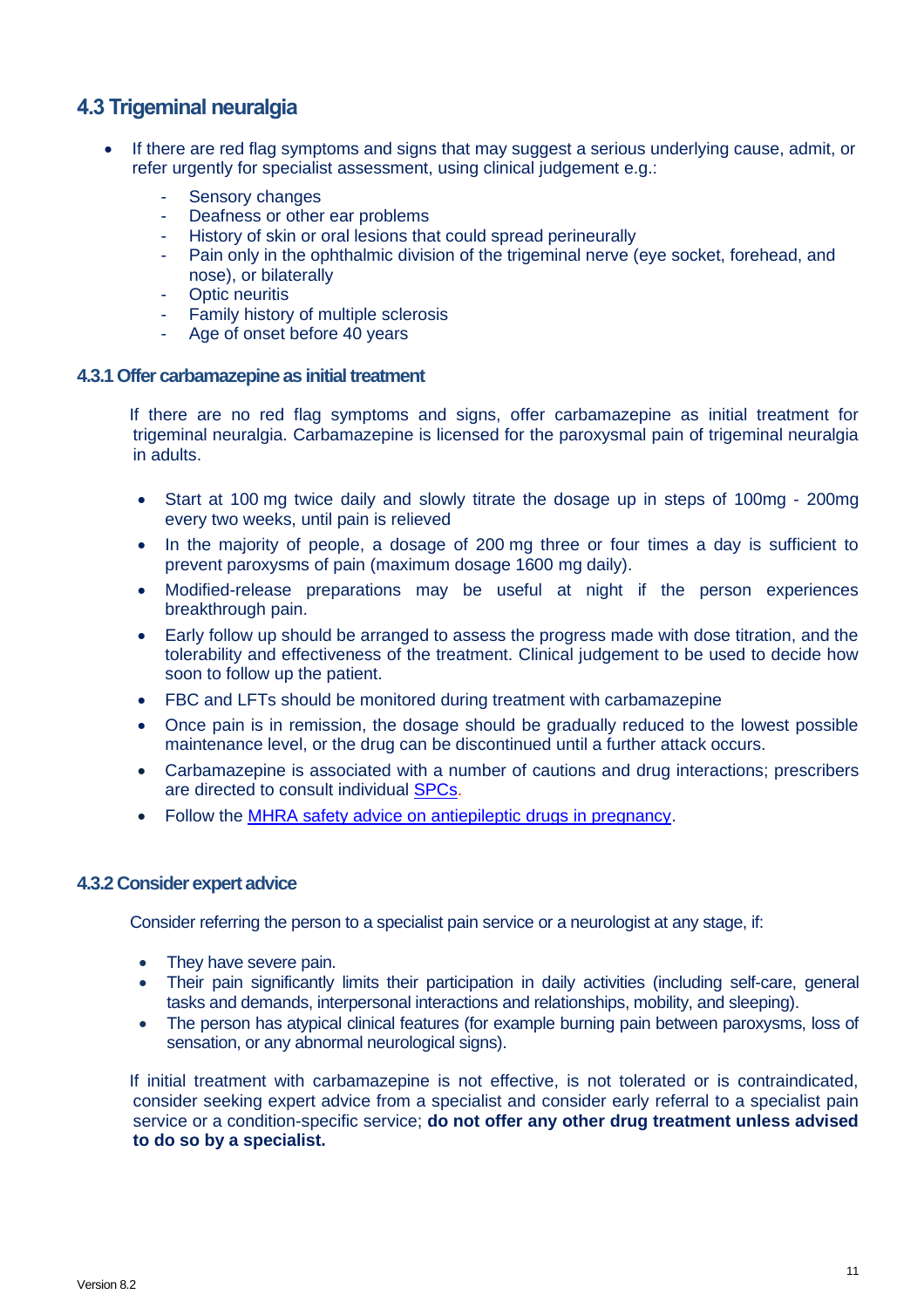### <span id="page-13-0"></span>**4.3 Trigeminal neuralgia**

- If there are red flag symptoms and signs that may suggest a serious underlying cause, admit, or refer urgently for specialist assessment, using clinical judgement e.g.:
	- Sensory changes
	- Deafness or other ear problems
	- History of skin or oral lesions that could spread perineurally
	- Pain only in the ophthalmic division of the trigeminal nerve (eye socket, forehead, and nose), or bilaterally
	- Optic neuritis
	- Family history of multiple sclerosis
	- Age of onset before 40 years

#### <span id="page-13-1"></span>**4.3.1 Offer carbamazepine as initial treatment**

 If there are no red flag symptoms and signs, offer carbamazepine as initial treatment for trigeminal neuralgia. Carbamazepine is licensed for the paroxysmal pain of trigeminal neuralgia in adults.

- Start at 100 mg twice daily and slowly titrate the dosage up in steps of 100mg 200mg every two weeks, until pain is relieved
- In the majority of people, a dosage of 200 mg three or four times a day is sufficient to prevent paroxysms of pain (maximum dosage 1600 mg daily).
- Modified-release preparations may be useful at night if the person experiences breakthrough pain.
- Early follow up should be arranged to assess the progress made with dose titration, and the tolerability and effectiveness of the treatment. Clinical judgement to be used to decide how soon to follow up the patient.
- FBC and LFTs should be monitored during treatment with carbamazepine
- Once pain is in remission, the dosage should be gradually reduced to the lowest possible maintenance level, or the drug can be discontinued until a further attack occurs.
- Carbamazepine is associated with a number of cautions and drug interactions; prescribers are directed to consult individual [SPCs.](https://www.medicines.org.uk/emc/search?q=carbamazepine)
- Follow the [MHRA safety advice on antiepileptic drugs in pregnancy.](https://www.gov.uk/drug-safety-update/antiepileptic-drugs-in-pregnancy-updated-advice-following-comprehensive-safety-review#national-review-of-safety-data)

#### <span id="page-13-2"></span>**4.3.2 Consider expert advice**

Consider referring the person to a specialist pain service or a neurologist at any stage, if:

- They have severe pain.
- Their pain significantly limits their participation in daily activities (including self-care, general tasks and demands, interpersonal interactions and relationships, mobility, and sleeping).
- The person has atypical clinical features (for example burning pain between paroxysms, loss of sensation, or any abnormal neurological signs).

 If initial treatment with carbamazepine is not effective, is not tolerated or is contraindicated, consider seeking expert advice from a specialist and consider early referral to a specialist pain service or a condition-specific service; **do not offer any other drug treatment unless advised to do so by a specialist.**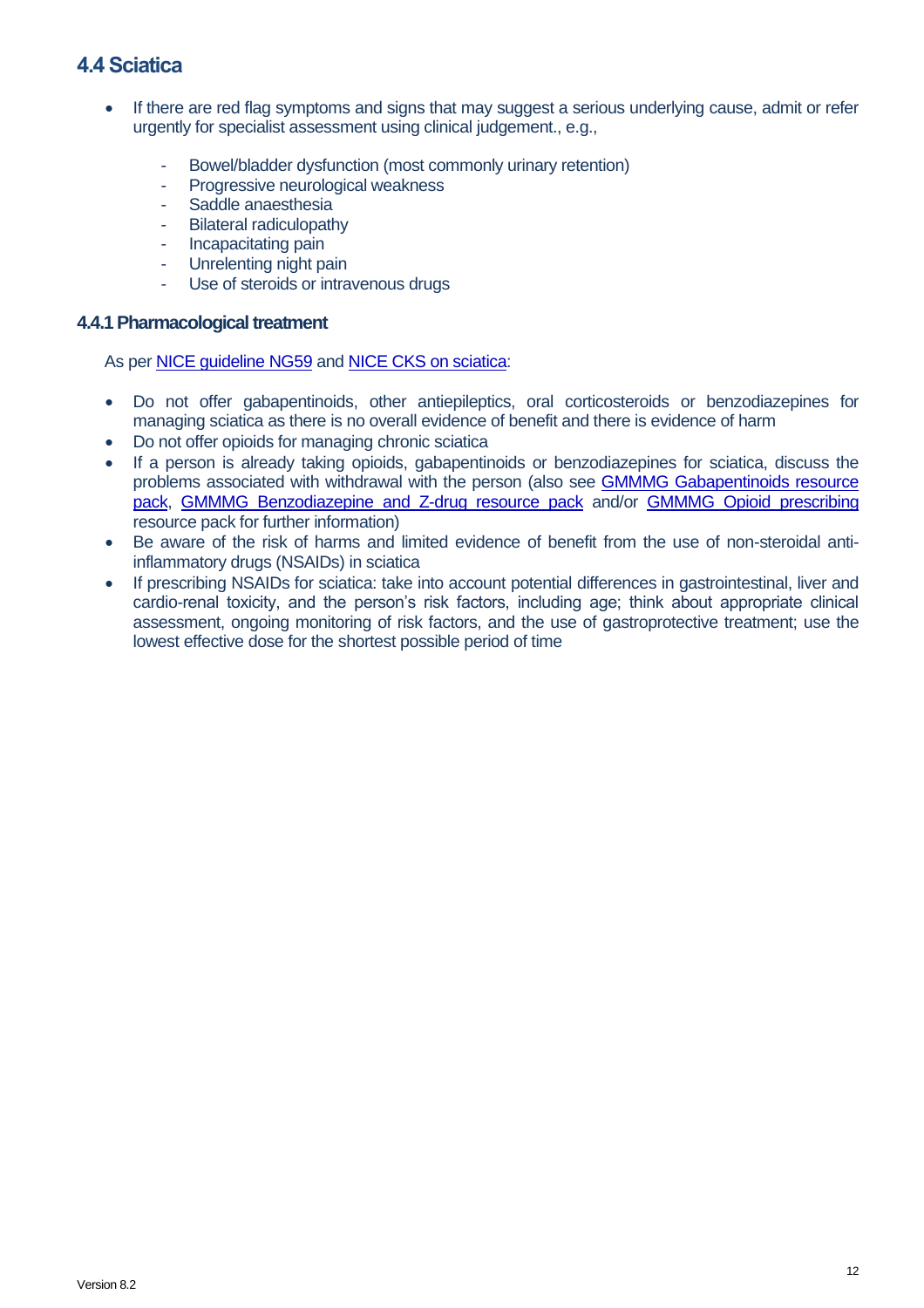### <span id="page-14-0"></span>**4.4 Sciatica**

- If there are red flag symptoms and signs that may suggest a serious underlying cause, admit or refer urgently for specialist assessment using clinical judgement., e.g.,
	- Bowel/bladder dysfunction (most commonly urinary retention)
	- Progressive neurological weakness
	- Saddle anaesthesia
	- Bilateral radiculopathy
	- Incapacitating pain
	- Unrelenting night pain
	- Use of steroids or intravenous drugs

#### <span id="page-14-1"></span>**4.4.1 Pharmacological treatment**

As pe[r NICE guideline NG59](https://www.nice.org.uk/guidance/ng59/chapter/Recommendations) and [NICE CKS on sciatica:](https://cks.nice.org.uk/topics/sciatica-lumbar-radiculopathy/)

- Do not offer gabapentinoids, other antiepileptics, oral corticosteroids or benzodiazepines for managing sciatica as there is no overall evidence of benefit and there is evidence of harm
- Do not offer opioids for managing chronic sciatica
- If a person is already taking opioids, gabapentinoids or benzodiazepines for sciatica, discuss the problems associated with withdrawal with the person (also see **GMMMG Gabapentinoids resource** [pack,](https://gmmmg.nhs.uk/wp-content/uploads/2021/08/Gabapentinoid-resource-pack-1-0.pdf) [GMMMG Benzodiazepine and Z-drug resource pack](https://gmmmg.nhs.uk/wp-content/uploads/2021/08/Benzodiazepine-and-Z-drug-Resource-Pack-GMMMG-FINAL-v1-0-for-GMMMG-website.pdf) and/or [GMMMG Opioid prescribing](https://gmmmg.nhs.uk/wp-content/uploads/2021/08/Final-Opioid-Resource-Pack-Approved-CSB-August-2018.pdf) resource pack for further information)
- Be aware of the risk of harms and limited evidence of benefit from the use of non-steroidal antiinflammatory drugs (NSAIDs) in sciatica
- If prescribing NSAIDs for sciatica: take into account potential differences in gastrointestinal, liver and cardio-renal toxicity, and the person's risk factors, including age; think about appropriate clinical assessment, ongoing monitoring of risk factors, and the use of gastroprotective treatment; use the lowest effective dose for the shortest possible period of time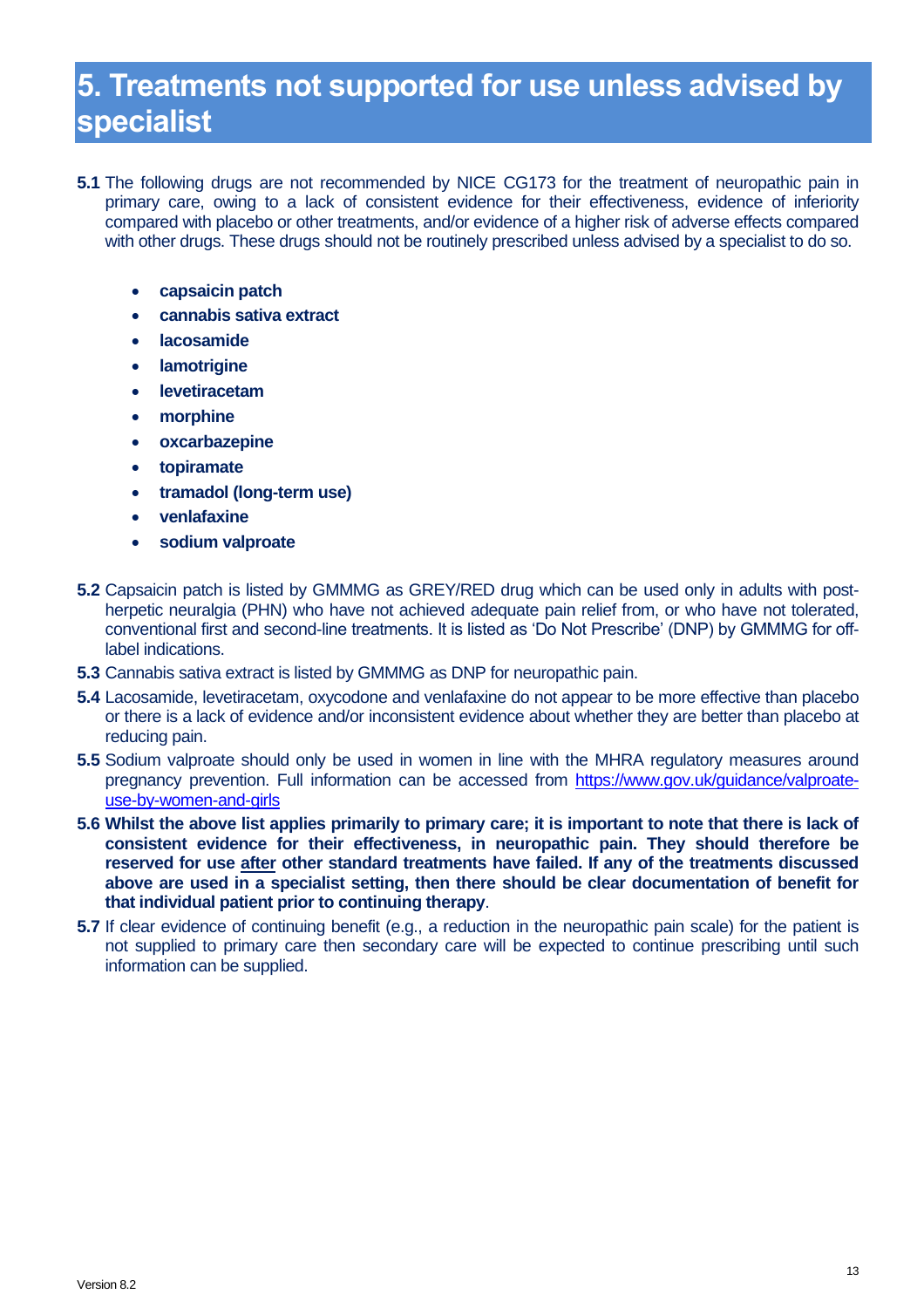# <span id="page-15-0"></span>**5. Treatments not supported for use unless advised by specialist**

- **5.1** The following drugs are not recommended by NICE CG173 for the treatment of neuropathic pain in primary care, owing to a lack of consistent evidence for their effectiveness, evidence of inferiority compared with placebo or other treatments, and/or evidence of a higher risk of adverse effects compared with other drugs. These drugs should not be routinely prescribed unless advised by a specialist to do so.
	- **capsaicin patch**
	- **cannabis sativa extract**
	- **lacosamide**
	- **lamotrigine**
	- **levetiracetam**
	- **morphine**
	- **oxcarbazepine**
	- **topiramate**
	- **tramadol (long-term use)**
	- **venlafaxine**
	- **sodium valproate**
- **5.2** Capsaicin patch is listed by GMMMG as GREY/RED drug which can be used only in adults with postherpetic neuralgia (PHN) who have not achieved adequate pain relief from, or who have not tolerated, conventional first and second-line treatments. It is listed as 'Do Not Prescribe' (DNP) by GMMMG for offlabel indications.
- **5.3** Cannabis sativa extract is listed by GMMMG as DNP for neuropathic pain.
- **5.4** Lacosamide, levetiracetam, oxycodone and venlafaxine do not appear to be more effective than placebo or there is a lack of evidence and/or inconsistent evidence about whether they are better than placebo at reducing pain.
- **5.5** Sodium valproate should only be used in women in line with the MHRA regulatory measures around pregnancy prevention. Full information can be accessed from [https://www.gov.uk/guidance/valproate](https://www.gov.uk/guidance/valproate-use-by-women-and-girls)[use-by-women-and-girls](https://www.gov.uk/guidance/valproate-use-by-women-and-girls)
- **5.6 Whilst the above list applies primarily to primary care; it is important to note that there is lack of consistent evidence for their effectiveness, in neuropathic pain. They should therefore be reserved for use after other standard treatments have failed. If any of the treatments discussed above are used in a specialist setting, then there should be clear documentation of benefit for that individual patient prior to continuing therapy**.
- **5.7** If clear evidence of continuing benefit (e.g., a reduction in the neuropathic pain scale) for the patient is not supplied to primary care then secondary care will be expected to continue prescribing until such information can be supplied.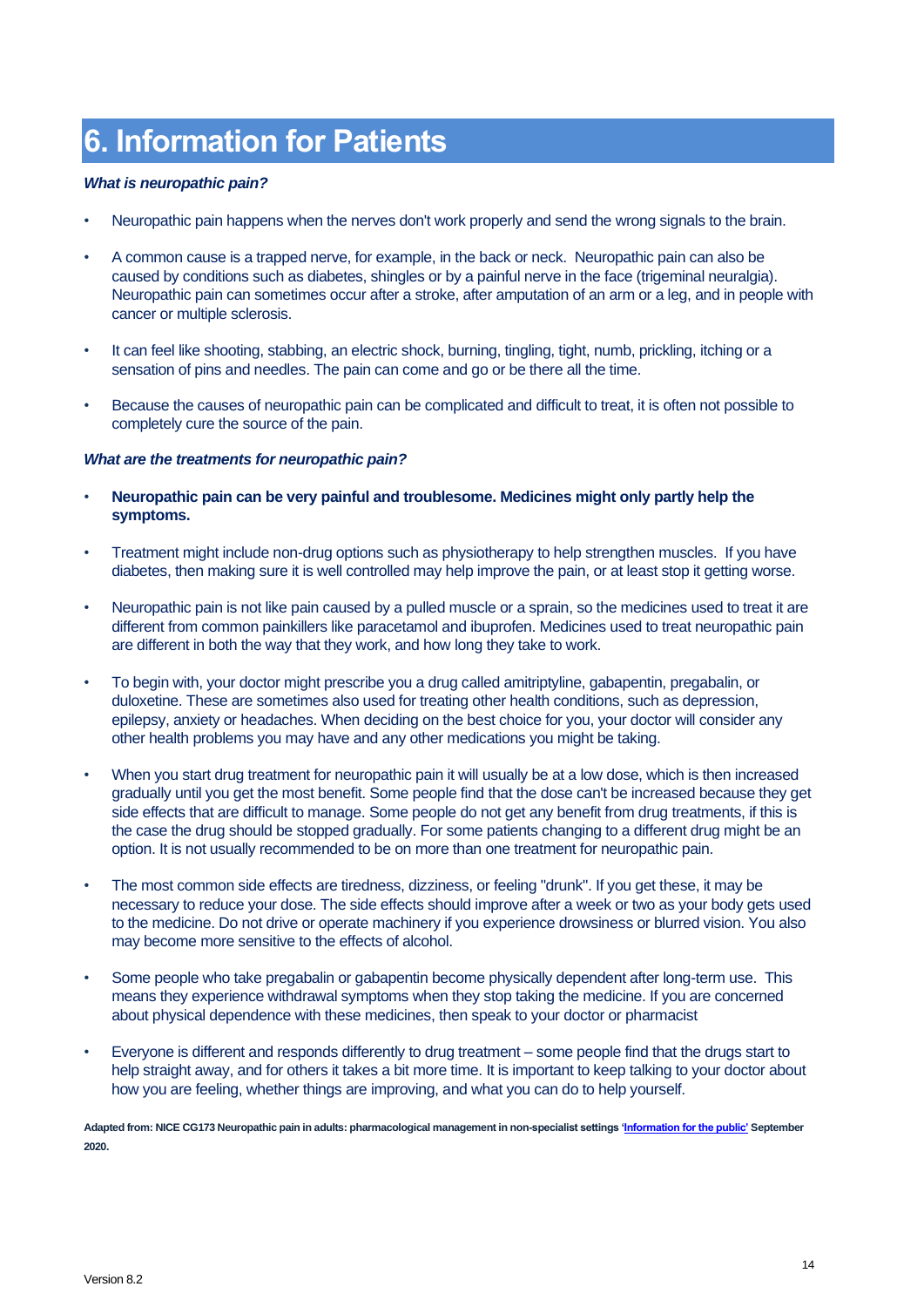# <span id="page-16-0"></span>**6. Information for Patients**

#### *What is neuropathic pain?*

- Neuropathic pain happens when the nerves don't work properly and send the wrong signals to the brain.
- A common cause is a trapped nerve, for example, in the back or neck. Neuropathic pain can also be caused by conditions such as diabetes, shingles or by a painful nerve in the face (trigeminal neuralgia). Neuropathic pain can sometimes occur after a stroke, after amputation of an arm or a leg, and in people with cancer or multiple sclerosis.
- It can feel like shooting, stabbing, an electric shock, burning, tingling, tight, numb, prickling, itching or a sensation of pins and needles. The pain can come and go or be there all the time.
- Because the causes of neuropathic pain can be complicated and difficult to treat, it is often not possible to completely cure the source of the pain.

#### *What are the treatments for neuropathic pain?*

- **Neuropathic pain can be very painful and troublesome. Medicines might only partly help the symptoms.**
- Treatment might include non-drug options such as physiotherapy to help strengthen muscles. If you have diabetes, then making sure it is well controlled may help improve the pain, or at least stop it getting worse.
- Neuropathic pain is not like pain caused by a pulled muscle or a sprain, so the medicines used to treat it are different from common painkillers like paracetamol and ibuprofen. Medicines used to treat neuropathic pain are different in both the way that they work, and how long they take to work.
- To begin with, your doctor might prescribe you a drug called amitriptyline, gabapentin, pregabalin, or duloxetine. These are sometimes also used for treating other health conditions, such as depression, epilepsy, anxiety or headaches. When deciding on the best choice for you, your doctor will consider any other health problems you may have and any other medications you might be taking.
- When you start drug treatment for neuropathic pain it will usually be at a low dose, which is then increased gradually until you get the most benefit. Some people find that the dose can't be increased because they get side effects that are difficult to manage. Some people do not get any benefit from drug treatments, if this is the case the drug should be stopped gradually. For some patients changing to a different drug might be an option. It is not usually recommended to be on more than one treatment for neuropathic pain.
- The most common side effects are tiredness, dizziness, or feeling "drunk". If you get these, it may be necessary to reduce your dose. The side effects should improve after a week or two as your body gets used to the medicine. Do not drive or operate machinery if you experience drowsiness or blurred vision. You also may become more sensitive to the effects of alcohol.
- Some people who take pregabalin or gabapentin become physically dependent after long-term use. This means they experience withdrawal symptoms when they stop taking the medicine. If you are concerned about physical dependence with these medicines, then speak to your doctor or pharmacist
- Everyone is different and responds differently to drug treatment some people find that the drugs start to help straight away, and for others it takes a bit more time. It is important to keep talking to your doctor about how you are feeling, whether things are improving, and what you can do to help yourself.

**Adapted from: NICE CG173 Neuropathic pain in adults: pharmacological management in non-specialist settings ['Information for the public'](https://www.nice.org.uk/guidance/cg173/ifp/chapter/About-this-information) September 2020.**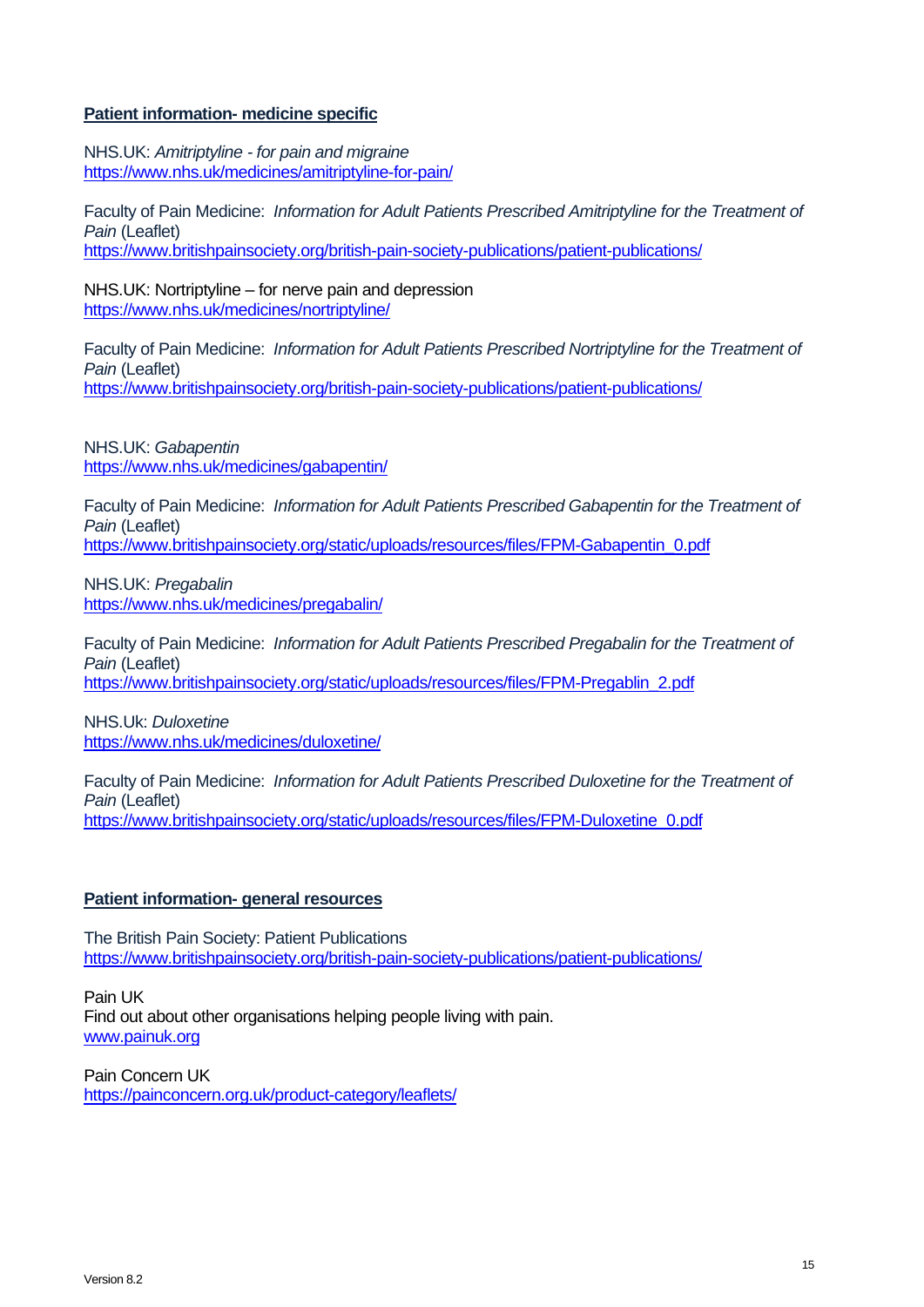#### **Patient information- medicine specific**

NHS.UK: *Amitriptyline - for pain and migraine* <https://www.nhs.uk/medicines/amitriptyline-for-pain/>

Faculty of Pain Medicine: *Information for Adult Patients Prescribed Amitriptyline for the Treatment of Pain* (Leaflet) <https://www.britishpainsociety.org/british-pain-society-publications/patient-publications/>

NHS.UK: Nortriptyline – for nerve pain and depression <https://www.nhs.uk/medicines/nortriptyline/>

Faculty of Pain Medicine: *Information for Adult Patients Prescribed Nortriptyline for the Treatment of Pain* (Leaflet) <https://www.britishpainsociety.org/british-pain-society-publications/patient-publications/>

NHS.UK: *Gabapentin* <https://www.nhs.uk/medicines/gabapentin/>

Faculty of Pain Medicine: *Information for Adult Patients Prescribed Gabapentin for the Treatment of Pain* (Leaflet) [https://www.britishpainsociety.org/static/uploads/resources/files/FPM-Gabapentin\\_0.pdf](https://www.britishpainsociety.org/static/uploads/resources/files/FPM-Gabapentin_0.pdf)

NHS.UK: *Pregabalin* <https://www.nhs.uk/medicines/pregabalin/>

Faculty of Pain Medicine: *Information for Adult Patients Prescribed Pregabalin for the Treatment of Pain* (Leaflet) [https://www.britishpainsociety.org/static/uploads/resources/files/FPM-Pregablin\\_2.pdf](https://www.britishpainsociety.org/static/uploads/resources/files/FPM-Pregablin_2.pdf)

NHS.Uk: *Duloxetine* <https://www.nhs.uk/medicines/duloxetine/>

Faculty of Pain Medicine: *Information for Adult Patients Prescribed Duloxetine for the Treatment of Pain* (Leaflet) [https://www.britishpainsociety.org/static/uploads/resources/files/FPM-Duloxetine\\_0.pdf](https://www.britishpainsociety.org/static/uploads/resources/files/FPM-Duloxetine_0.pdf)

#### **Patient information- general resources**

The British Pain Society: Patient Publications <https://www.britishpainsociety.org/british-pain-society-publications/patient-publications/>

Pain UK Find out about other organisations helping people living with pain. [www.painuk.org](http://www.painuk.org/)

Pain Concern UK <https://painconcern.org.uk/product-category/leaflets/>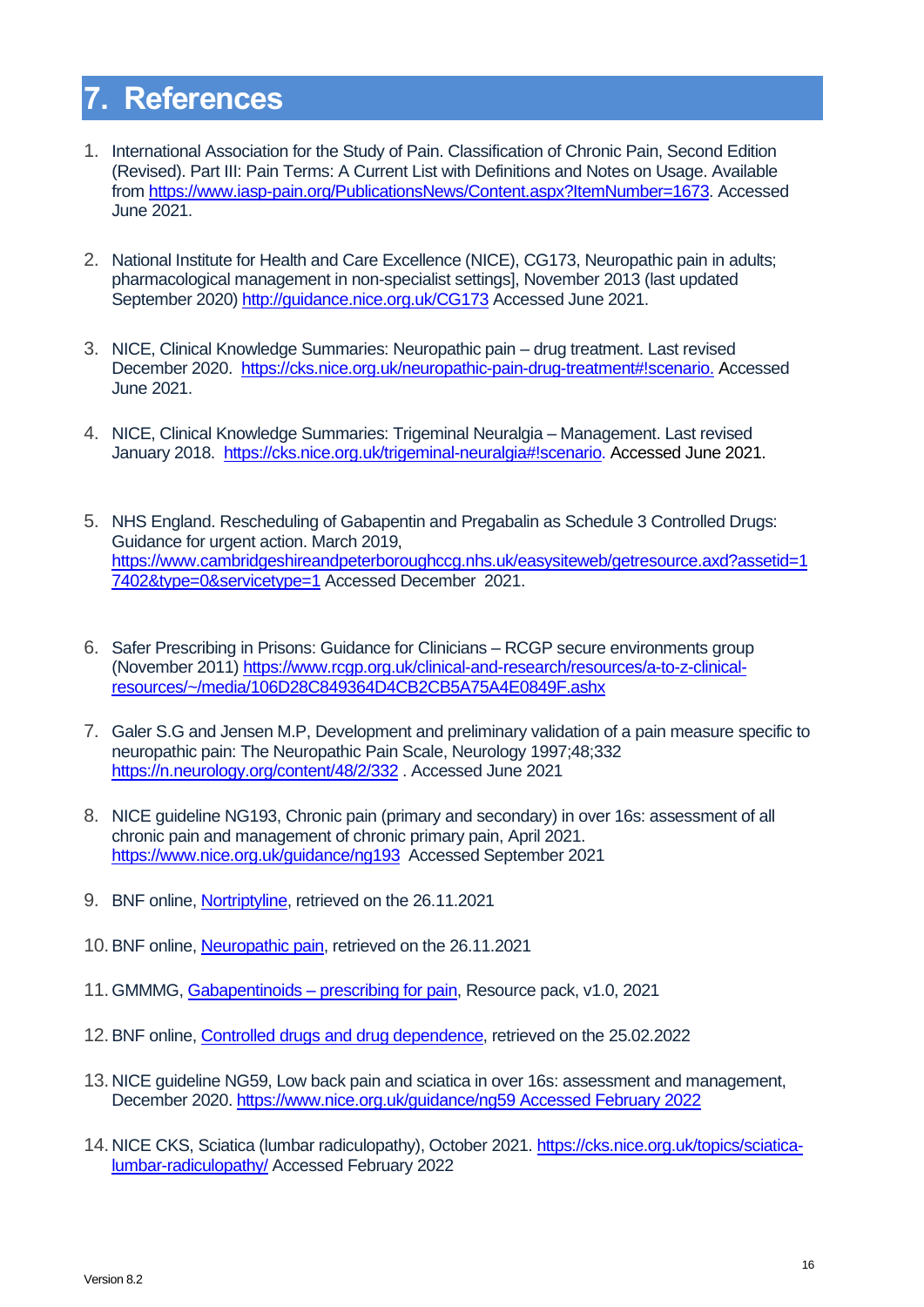# <span id="page-18-0"></span>**7. References**

- 1. International Association for the Study of Pain. Classification of Chronic Pain, Second Edition (Revised). Part III: Pain Terms: A Current List with Definitions and Notes on Usage. Available from [https://www.iasp-pain.org/PublicationsNews/Content.aspx?ItemNumber=1673.](https://www.iasp-pain.org/PublicationsNews/Content.aspx?ItemNumber=1673) Accessed June 2021.
- 2. National Institute for Health and Care Excellence (NICE), CG173, Neuropathic pain in adults; pharmacological management in non-specialist settings], November 2013 (last updated September 2020) <http://guidance.nice.org.uk/CG173> Accessed June 2021.
- 3. NICE, Clinical Knowledge Summaries: Neuropathic pain drug treatment. Last revised December 2020. [https://cks.nice.org.uk/neuropathic-pain-drug-treatment#!scenario.](https://cks.nice.org.uk/neuropathic-pain-drug-treatment#!scenario) Accessed June 2021.
- 4. NICE, Clinical Knowledge Summaries: Trigeminal Neuralgia Management. Last revised January 2018. [https://cks.nice.org.uk/trigeminal-neuralgia#!scenario.](https://cks.nice.org.uk/trigeminal-neuralgia#!scenario) Accessed June 2021.
- 5. NHS England. Rescheduling of Gabapentin and Pregabalin as Schedule 3 Controlled Drugs: Guidance for urgent action. March 2019, [https://www.cambridgeshireandpeterboroughccg.nhs.uk/easysiteweb/getresource.axd?assetid=1](https://www.cambridgeshireandpeterboroughccg.nhs.uk/easysiteweb/getresource.axd?assetid=17402&type=0&servicetype=1) [7402&type=0&servicetype=1](https://www.cambridgeshireandpeterboroughccg.nhs.uk/easysiteweb/getresource.axd?assetid=17402&type=0&servicetype=1) Accessed December 2021.
- 6. Safer Prescribing in Prisons: Guidance for Clinicians RCGP secure environments group (November 2011[\) https://www.rcgp.org.uk/clinical-and-research/resources/a-to-z-clinical](https://www.rcgp.org.uk/clinical-and-research/resources/a-to-z-clinical-resources/~/media/106D28C849364D4CB2CB5A75A4E0849F.ashx)[resources/~/media/106D28C849364D4CB2CB5A75A4E0849F.ashx](https://www.rcgp.org.uk/clinical-and-research/resources/a-to-z-clinical-resources/~/media/106D28C849364D4CB2CB5A75A4E0849F.ashx)
- 7. Galer S.G and Jensen M.P, Development and preliminary validation of a pain measure specific to neuropathic pain: The Neuropathic Pain Scale, Neurology 1997;48;332 <https://n.neurology.org/content/48/2/332> . Accessed June 2021
- 8. NICE guideline NG193, Chronic pain (primary and secondary) in over 16s: assessment of all chronic pain and management of chronic primary pain, April 2021. <https://www.nice.org.uk/guidance/ng193> Accessed September 2021
- 9. BNF online[, Nortriptyline,](https://www.google.com/search?q=nortriptyline+bnf&oq=nortriptyline+BNF&aqs=chrome.0.0i512l2j0i22i30j0i10i22i30j0i390j69i60.7987j0j7&sourceid=chrome&ie=UTF-8) retrieved on the 26.11.2021
- 10.BNF online[, Neuropathic pain,](https://bnf.nice.org.uk/treatment-summary/neuropathic-pain.html) retrieved on the 26.11.2021
- 11.GMMMG, Gabapentinoids [prescribing for pain,](https://gmmmg.nhs.uk/wp-content/uploads/2021/08/Gabapentinoid-resource-pack-1-0.pdf) Resource pack, v1.0, 2021
- 12.BNF online[, Controlled drugs and drug dependence,](https://bnf.nice.org.uk/guidance/controlled-drugs-and-drug-dependence.html) retrieved on the 25.02.2022
- 13. NICE guideline NG59, Low back pain and sciatica in over 16s: assessment and management, December 2020. [https://www.nice.org.uk/guidance/ng59 Accessed February 2022](https://www.nice.org.uk/guidance/ng59%20Accessed%20February%202022)
- 14. NICE CKS, Sciatica (lumbar radiculopathy), October 2021[. https://cks.nice.org.uk/topics/sciatica](https://cks.nice.org.uk/topics/sciatica-lumbar-radiculopathy/)[lumbar-radiculopathy/](https://cks.nice.org.uk/topics/sciatica-lumbar-radiculopathy/) Accessed February 2022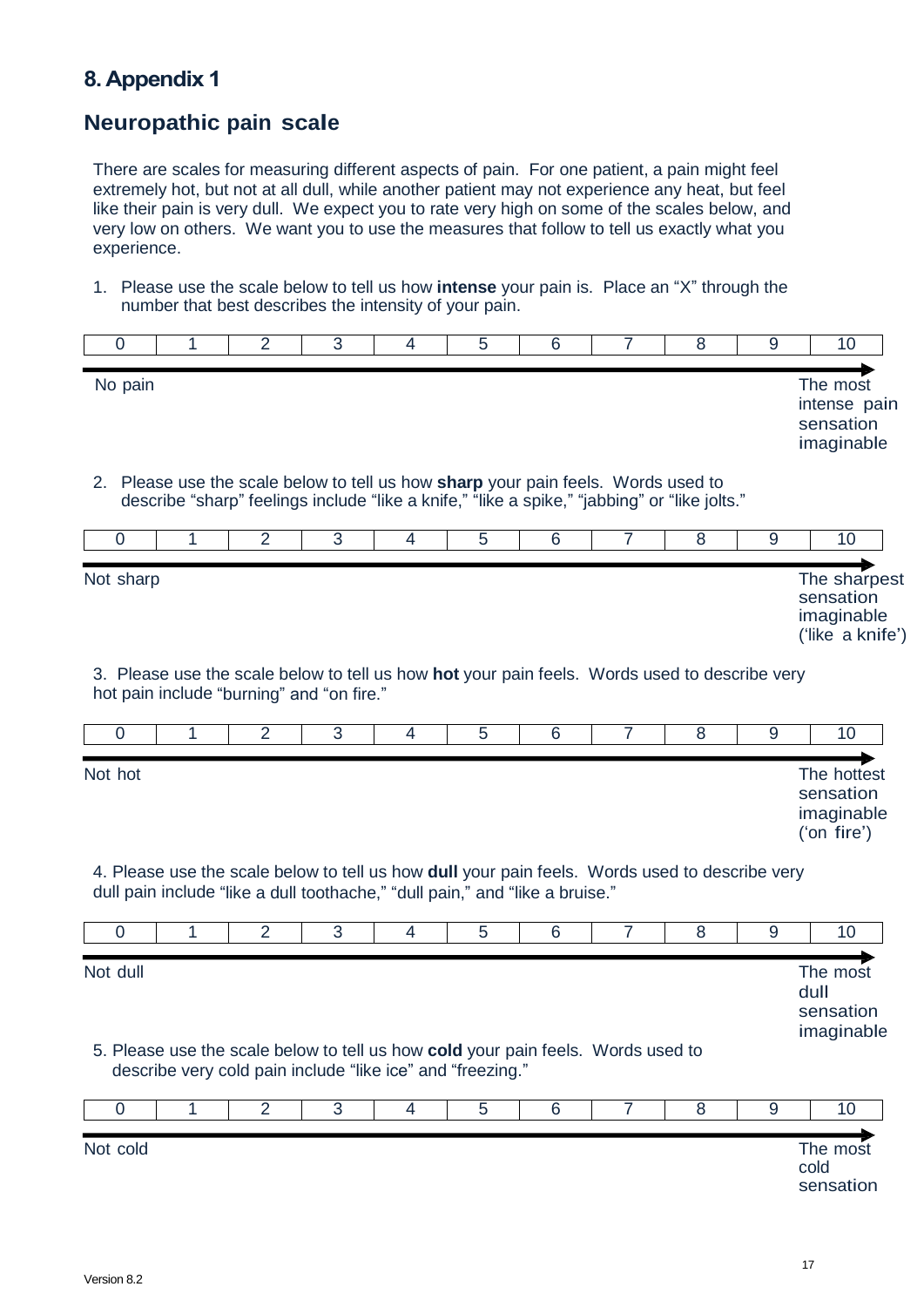### <span id="page-19-1"></span><span id="page-19-0"></span>**8. Appendix 1**

### **Neuropathic pain scale**

There are scales for measuring different aspects of pain. For one patient, a pain might feel extremely hot, but not at all dull, while another patient may not experience any heat, but feel like their pain is very dull. We expect you to rate very high on some of the scales below, and very low on others. We want you to use the measures that follow to tell us exactly what you experience.

1. Please use the scale below to tell us how **intense** your pain is. Place an "X" through the number that best describes the intensity of your pain.

| 0              | 1                                                                                                                                                                                 | $\overline{2}$ | 3              | 4 | 5 | $6\phantom{1}6$ | $\overline{7}$ | 8 | 9 |      | 10                                                          |
|----------------|-----------------------------------------------------------------------------------------------------------------------------------------------------------------------------------|----------------|----------------|---|---|-----------------|----------------|---|---|------|-------------------------------------------------------------|
| No pain        |                                                                                                                                                                                   |                |                |   |   |                 |                |   |   |      | The most<br>intense pain<br>sensation<br>imaginable         |
|                | 2. Please use the scale below to tell us how sharp your pain feels. Words used to<br>describe "sharp" feelings include "like a knife," "like a spike," "jabbing" or "like jolts." |                |                |   |   |                 |                |   |   |      |                                                             |
| 0              | 1                                                                                                                                                                                 | $\overline{2}$ | $\overline{3}$ | 4 | 5 | 6               | $\overline{7}$ | 8 | 9 |      | 10                                                          |
| Not sharp      | 3. Please use the scale below to tell us how hot your pain feels. Words used to describe very                                                                                     |                |                |   |   |                 |                |   |   |      | The sharpest<br>sensation<br>imaginable<br>('like a knife') |
|                | hot pain include "burning" and "on fire."                                                                                                                                         |                |                |   |   |                 |                |   |   |      |                                                             |
| 0              | 1                                                                                                                                                                                 | $\overline{2}$ | 3              | 4 | 5 | 6               | $\overline{7}$ | 8 | 9 |      | 10                                                          |
| Not hot        | 4. Please use the scale below to tell us how dull your pain feels. Words used to describe very<br>dull pain include "like a dull toothache," "dull pain," and "like a bruise."    |                |                |   |   |                 |                |   |   |      | The hottest<br>sensation<br>imaginable<br>$(5n)$ fire')     |
| $\overline{0}$ | 1                                                                                                                                                                                 | $\overline{2}$ | 3              | 4 | 5 | 6               | $\overline{7}$ | 8 | 9 |      | 10                                                          |
| Not dull       | 5. Please use the scale below to tell us how cold your pain feels. Words used to<br>describe very cold pain include "like ice" and "freezing."                                    |                |                |   |   |                 |                |   |   | dull | The most<br>sensation<br>imaginable                         |
| 0              | 1                                                                                                                                                                                 | $\overline{2}$ | 3              | 4 | 5 | 6               | 7              | 8 | 9 |      | 10                                                          |
| Not cold       |                                                                                                                                                                                   |                |                |   |   |                 |                |   |   | cold | The most<br>sensation                                       |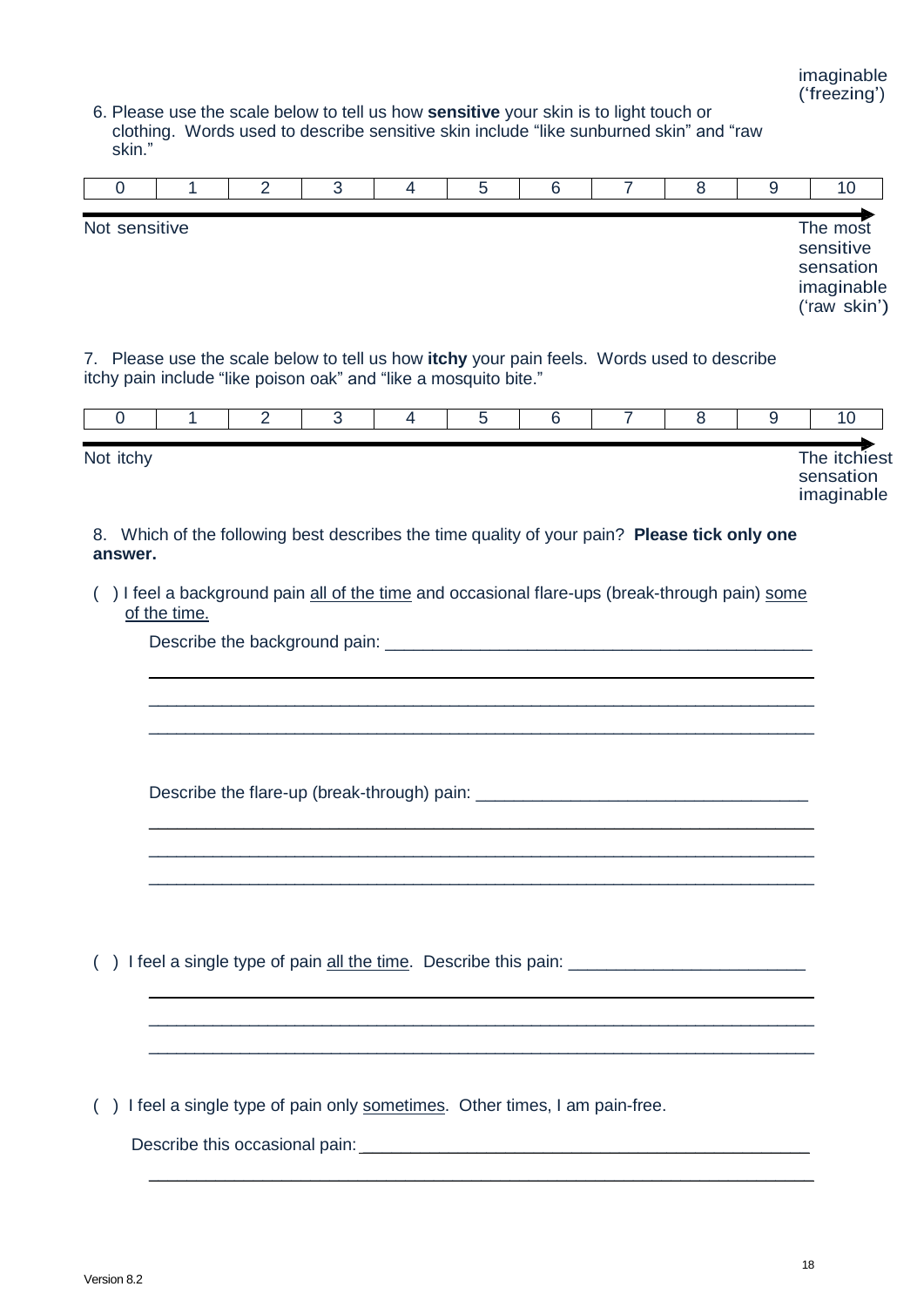6. Please use the scale below to tell us how **sensitive** your skin is to light touch or clothing. Words used to describe sensitive skin include "like sunburned skin" and "raw skin."

|               |  | ⊶ |  |  |                                                                  |
|---------------|--|---|--|--|------------------------------------------------------------------|
| Not sensitive |  |   |  |  | The most<br>sensitive<br>sensation<br>imaginable<br>('raw skin') |

7. Please use the scale below to tell us how **itchy** your pain feels. Words used to describe itchy pain include "like poison oak" and "like a mosquito bite."

| Not itchy |  |  |  |  | The itchiest<br>sensation<br>imaginable |
|-----------|--|--|--|--|-----------------------------------------|

8. Which of the following best describes the time quality of your pain? **Please tick only one answer.**

( ) I feel a background pain all of the time and occasional flare-ups (break-through pain) some of the time.

 $\_$  , and the set of the set of the set of the set of the set of the set of the set of the set of the set of the set of the set of the set of the set of the set of the set of the set of the set of the set of the set of th \_\_\_\_\_\_\_\_\_\_\_\_\_\_\_\_\_\_\_\_\_\_\_\_\_\_\_\_\_\_\_\_\_\_\_\_\_\_\_\_\_\_\_\_\_\_\_\_\_\_\_\_\_\_\_\_\_\_\_\_\_\_\_\_\_\_\_\_\_\_\_\_\_ \_\_\_\_\_\_\_\_\_\_\_\_\_\_\_\_\_\_\_\_\_\_\_\_\_\_\_\_\_\_\_\_\_\_\_\_\_\_\_\_\_\_\_\_\_\_\_\_\_\_\_\_\_\_\_\_\_\_\_\_\_\_\_\_\_\_\_\_\_\_\_\_\_

\_\_\_\_\_\_\_\_\_\_\_\_\_\_\_\_\_\_\_\_\_\_\_\_\_\_\_\_\_\_\_\_\_\_\_\_\_\_\_\_\_\_\_\_\_\_\_\_\_\_\_\_\_\_\_\_\_\_\_\_\_\_\_\_\_\_\_\_\_\_ \_\_\_\_\_\_\_\_\_\_\_\_\_\_\_\_\_\_\_\_\_\_\_\_\_\_\_\_\_\_\_\_\_\_\_\_\_\_\_\_\_\_\_\_\_\_\_\_\_\_\_\_\_\_\_\_\_\_\_\_\_\_\_\_\_\_\_\_\_\_\_\_\_ \_\_\_\_\_\_\_\_\_\_\_\_\_\_\_\_\_\_\_\_\_\_\_\_\_\_\_\_\_\_\_\_\_\_\_\_\_\_\_\_\_\_\_\_\_\_\_\_\_\_\_\_\_\_\_\_\_\_\_\_\_\_\_\_\_\_\_\_\_\_\_\_\_

 $\_$  , and the set of the set of the set of the set of the set of the set of the set of the set of the set of the set of the set of the set of the set of the set of the set of the set of the set of the set of the set of th \_\_\_\_\_\_\_\_\_\_\_\_\_\_\_\_\_\_\_\_\_\_\_\_\_\_\_\_\_\_\_\_\_\_\_\_\_\_\_\_\_\_\_\_\_\_\_\_\_\_\_\_\_\_\_\_\_\_\_\_\_\_\_\_\_\_\_\_\_\_\_\_\_ \_\_\_\_\_\_\_\_\_\_\_\_\_\_\_\_\_\_\_\_\_\_\_\_\_\_\_\_\_\_\_\_\_\_\_\_\_\_\_\_\_\_\_\_\_\_\_\_\_\_\_\_\_\_\_\_\_\_\_\_\_\_\_\_\_\_\_\_\_\_\_\_\_

 $\_$  . The contribution of the contribution of  $\mathcal{L}_1$  ,  $\mathcal{L}_2$  ,  $\mathcal{L}_3$  ,  $\mathcal{L}_4$  ,  $\mathcal{L}_5$  ,  $\mathcal{L}_6$  ,  $\mathcal{L}_7$  ,  $\mathcal{L}_8$  ,  $\mathcal{L}_9$  ,  $\mathcal{L}_1$  ,  $\mathcal{L}_2$  ,  $\mathcal{L}_3$  ,  $\mathcal{L}_5$  ,  $\mathcal{L}_6$  ,  $\mathcal{L}_$ 

Describe the background pain: \_\_\_\_\_\_\_\_\_\_\_\_\_\_\_\_\_\_\_\_\_\_\_\_\_\_\_\_\_\_\_\_\_\_\_\_\_\_\_\_\_\_\_\_\_

Describe the flare-up (break-through) pain:

 $($ ) I feel a single type of pain all the time. Describe this pain:

( ) I feel a single type of pain only sometimes. Other times, I am pain-free.

Describe this occasional pain: \_\_\_\_\_\_\_\_\_\_\_\_\_\_\_\_\_\_\_\_\_\_\_\_\_\_\_\_\_\_\_\_\_\_\_\_\_\_\_\_\_\_\_\_\_\_\_